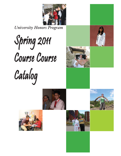

*University Honors Program*

**Spring 2011** Course Course Catalog









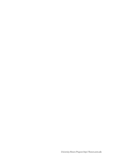*University Honors Program http://honors.unm.edu*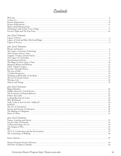# Contents

| 100-Level Seminars |  |  |
|--------------------|--|--|
|                    |  |  |
|                    |  |  |
|                    |  |  |
| 200-Level Seminars |  |  |
|                    |  |  |
|                    |  |  |
|                    |  |  |
|                    |  |  |
|                    |  |  |
|                    |  |  |
|                    |  |  |
|                    |  |  |
|                    |  |  |
|                    |  |  |
|                    |  |  |
|                    |  |  |
|                    |  |  |
|                    |  |  |
|                    |  |  |
|                    |  |  |
|                    |  |  |
|                    |  |  |
|                    |  |  |
| 300-Level Seminars |  |  |
|                    |  |  |
|                    |  |  |
|                    |  |  |
|                    |  |  |
|                    |  |  |
|                    |  |  |
|                    |  |  |
|                    |  |  |
|                    |  |  |
|                    |  |  |
|                    |  |  |
|                    |  |  |
| 400-Level Seminars |  |  |
|                    |  |  |
|                    |  |  |
|                    |  |  |
|                    |  |  |
|                    |  |  |
|                    |  |  |
|                    |  |  |
|                    |  |  |
|                    |  |  |
|                    |  |  |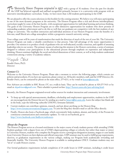The University Honors Program originated in 1957 with a group of 30 students. Over the past five decades the UHP has achieved regional and national recognition primarily because it is a university-wide program with an innovative interdisciplinary curriculum. Today, we have more than 1,300 students participating in the UHP.

We are pleased to offer the course selections in this booklet for the coming semester. We believe you will enjoy participating in one of the most dynamic programs at the university. The Honors Program offers a rich and diverse interdisciplinary curriculum taught by some of the best faculty, with exceptional opportunities for individual learning and serious thinking. The goals of the University Honors Program are to offer distinctive opportunities for students who show promise of outstanding academic achievement and to do this so well that our graduates are competitive with the best students of any college or university. The excellent instruction and individual attention of our Honors Program create the benefits of a first-rate, small liberal arts college atmosphere within a progressive research university setting.

Your college years will be years of transformation that mark the direction of much of the rest of your life. The University Honors Program can make a valuable contribution to that process. Take full advantage of the many opportunities it provides. Our mission is to produce a body of graduates who are well-educated, socially conscious, and capable of assuming leadership roles in our society. The primary means of achieving this mission is the Honors curriculum, a series of seminars designed to enhance your participation in the educational process through emphasis on expression and independent thinking. Honors seminars highlight the social and ethical dimensions of their content, as well as help students understand connections among a variety of academic subjects.

Rosalie Otero

Rosalie Otero, Ph.D. **Director** 

#### *Contact Us*

Welcome to the University Honors Program. Please take a moment to review the following pages, which contain our policies and procedures. If you have any questions, please contact us. All faculty members, staff, and the UHP Director, Dr. Rosalie Otero, can be contacted by phone at the main office, 277-4211, or by e-mail at honors@unm.edu.

Peer Advisors are available in SHC Room 17C on a walk-in basis. They can be reached by phone at 505-277-7415 or by email at uhpadvisors@gmail.com. Their schedule is posted on-line: http://honors.unm.edu/peer-advising.html.

Recently, the Honors Program originated several online sources for student interaction and community involvement:

- To keep up with special announcements, deadlines, scholarship and employment opportunities, students in the UHP are encouraged join the Honors list-serv by sending an e-mail to listserv@list.unm.edu. Leave the subject line blank and in the body, type the following: subscribe UHON-L firstname lastname.
- Current students can contribute opinions, research, and just about anything on the Honors blog: http://www.forumconversations.blogspot.com. To join the blog they should e-mail or call the office directly.
- Finally, Honors also hosts a Facebook page, which conveniently links students, alumni, and faculty of the Proram for continuous communication and community updates. To visit us on Facebook, go to http://www.facebook.com/dudlyewynnhonors.

#### *About the Program*

The Honors Program serves as a focused enrichment to the major course of study students pursue while attending UNM. Students graduate with a degree from one of UNM's degree-granting colleges or schools, but rather than major or minor in University Honors, students who complete the Program receive a prestigious designation (summa, magna or cum laude) from University Honors on their diploma and official transcripts. UHP seminars may be used to fulfill group requirements, electives, or graduation requirements in the various colleges, making our Program both academically rewarding and financially feasible. The University Honors Program is available to undergraduates ONLY. Graduate students may not "sit in" or audit Honors courses.

Our formal graduation requirements include completion of 24 credit hours in UHP seminars, including 6 credit hours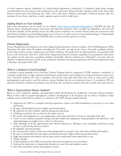of senior capstone option; completion of a multi-cultural experience; a minimum 3.2 cumulative grade point average; recommendation by the director and certification by the University Honors Faculty. Students easily break down their Honors course load in the following way: Take a 100, a 200, then a 300-level, and finally a 400-level seminar; take two seminars of your choice; and select a senior capstone option worth 6 credit hours.

#### *Adding Honors to Your Schedule*

Full course descriptions can be found on our website: http://honors.unm.edu/seminars.html. LoboWeb also lists all Honors classes, meeting days/times, instructors, and classroom locations. Once a student has identified a class that will fit his/her schedule, he/she should come by the office (call or e-mail) for an override. Honors classes are restricted so that only Honors students in good standing can gain access. If you try to add a course to your schedule and get a "Departmental Permission Required" message from LoboWeb, then you have not been given an override.

#### *Priority Registration*

Priority Registration has long been one of the unique benefits granted to Honors students. The UNM Registrars' Office determines the dates when all students attending the University can sign up for classes. Generally, graduate students go first then seniors, juniors, sophomores and finally freshmen. The grade levels are determined by accumulated credit hours at the University. However, with Priority Registration Honors students, regardless of accumulated credit hours, can register on the same day as graduate students. Essentially, Honors students get a "first-pick" of courses and can thereby coordinate their busy school, work, and family schedules. For Spring registration, the Priority Registration date is Monday, November 29th, 2010.

#### *What is a Student in Good Standing?*

A member in good standing of the University Honors Program must be registered at UNM, maintain a minimum 3.2 cumulative grade point average, maintain all advisement requirements, and complete on average one Honors course every year. Obviously students who want to graduate with honors must take more than one course at some point in their undergraduate career and/or enroll in summer courses. Students who do not maintain at least a 3.2 cumulative GPA are placed on probation. Students on probation may enroll in only one Honors semester after they consult with a peer advisor.

#### *What is Expected from Honors Students?*

Below is a list of attitudes, qualities, and approaches which should always be modeled by University Honors students. Many of these will be acquired throughout a student's development in the Program, but we find it is helpful to make students aware of the kind of excellence we cultivate in the UHP. Honors students should:

- Approach the UHP as a complete learning experience, where you build friendships as you grow to love ideas and beauty
- Be eager, self-disciplined, serious, highly motivated students
- Be respectful of other students' opinions during class discussion
- Challenge yourselves; do not settle for the easiest way out
- Be creative and imaginative in your assignments, at the same time that you focus on the goals of the class
- Come to your seminars prepared having read and studied the assignment, being prepared with questions, with indexed passages you might want to refer to in discussion
- Take advantage of all the opportunities that Honors education is offering to you, extending yourselves to meet faculty, to ask for help when you need it
- Be adaptable and open-minded
- Be a social person, ready to share time and exchange ideas in a positive way with other students and teachers
- Be open to cultural diversity and values and defend minorities' rights without being ethnocentric
- Judge and interpret information with an open mind to understand what experts have to say
- Think critically
- Understand that in the UHP you succeed or fail on the strength of your own efforts
- Embrace the importance of experiential education in your lives and academic careers
- Serve the community and be a particapatory citizen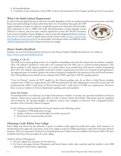- Be interdisciplinary
- Contribute to the community of the UHP; work for the betterment of the Program and the growth of your peers.

#### *What is the Multi-Cultural Requirement?*

In order to become global citizens in a diverse, mutually dependent world, our students must become more aware, culturally

fluent, and understanding of cultures other than their own. To facilitate these goals, the UHP requires students to acquire 6 credits (or comparable experience) with multi-cultural studies. This component is easy to fulfill with study abroad programs, foreign language courses (300-level or above), and even basic cultural exploration courses like World Literatures, Latin American Studies, Eastern Religions, and even specially designated Honors seminars. You can see a full list of the accepted multi-cultural courses online at http://honors.unm. edu/handbook-multicultural.html. In this booklet, all seminars which can fulfill the multicultural requirement have been marked with this icon (right).



#### *Honors Student Handbook*

Students can access all of these policies and more in the Honors Student Handbook located on our website at http://honors.unm.edu/handbook.html.

#### *Grading: A, CR, NC*

The UHP uses a unique grading system. An A signifies outstanding work and will compute into the student's academic GPA. CR indicates satisfactory work and is not computed into the GPA, but is counted towards graduation. This allows students to take rigorous seminars or to study subject areas outside their usual interest without jeopardizing their GPA. NC indicates unacceptable work and is neither computed into the GPA, nor counted towards graduation. An important part of a student's grade is the written evaluation completed by the instructor at the end of each semester. The UHP grading system should not be confused with UNM's pass/fail or CR/NC grading options.

"Core for Honors" courses do NOT qualify for the Honors grading scale. In an effort to help Honors students complete their UNM core requirements, the UHP has partnered with other departments to provide courses that will simultaneiously fulfill 3 credit hours in Honors electives and 3 credit hours in UNM core requirements. However, these courses are subject to the host department's grading scales and standards.

#### *Senior Exit Packets*

Around September 1st or February 1st of their final semester—whether or not they are currently enrolled in an Honors seminar—seniors must contact the main office in order to obtain a Senior Exit Packet. This packet must be completed and returned by the specified deadline. In addition, seniors must complete an interview with a designated faculty member of the University Honors Program.

Levels of Honors are determined by the Faculty based on the following criteria:

- Cumulative UNM grade point average
- Quality of Honors work and breadth of overall coursework
- Involvement in extracurricular activities

#### *Obtaining Credit Within Your College*

Each college and school has the authority to grant its students credit approval outside their major. Each semester you should obtain prior approval, if necessary, from your college or school to fulfill requirement credit with University Honors seminars. This is not automatic. Petition for Group Requirement Credit forms are available in the Honors Office. We have included a brief list of the procedures for each college:

#### *Anderson Schools of Management*

- No prior approval is necessary for free electives.
- For lower and upper division Humanities and Social Science credit, take a petition and this booklet to the ASM Advisement Center before registering.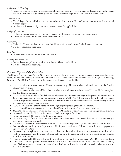#### *Architecture & Planning*

• University Honors seminars are accepted in fulfillment of electives or general electives depending upon the subject matter of the seminar. If you have questions, take a seminar description to your advisor in Architecture.

#### *Arts & Sciences*

- The College of Arts and Sciences accepts a maximum of 18 hours of Honors Program courses toward an Arts and Sciences degree.
- An Arts and Sciences faculty committee reviews courses for applicability.

#### *College of Education*

- College of Education approves Honors seminars in fulfillment of its group requirement credits.
- Take a petition and this booklet to the advisement office.

#### *Engineering*

- University Honors seminars are accepted in fulfillment of Humanities and Social Science elective credits.
- No prior approval is necessary.

#### Fine Arts

• Students should consult with a Fine Arts advisor

Nursing and Pharmacy

- Both colleges accept Honors seminars within the 18-hour elective block.
- No prior approval is necessary.

#### *Preview Night and the Fine Print*

The Honors Program offers Preview Night as an opportunity for the Honors community to come together and meet the faculty who will be teaching in the coming semester, as well as learn more about seminars. Preview Night is on Monday, November 15th, 2010 at 5:00 p.m. in the Ballrooms of the Student Union Building.

- 11/15/10: All freshmen and first-time Honors students must get Honors Advisement in order to receive the Priority Registration privilege.
- 11/29/10: Students who have fulfilled Honors advisement requirements and who attend Preview Night can register for their Honors seminars.
- 11/29/10: Students who have fulfilled Honors advisement requirements can register for general UNM courses. In Spring semesters, sophomores, juniors, and seniors must see a UHP Peer Advisor before they will be able to receive Priority Registration for regular UNM courses and Honors seminars. Students should visit an advisor early in order to receive their advisement confirmation.
- 12/6/10: Students who cannot attend Preview Night begin registering for Honors seminars.
- 1/3/11: Non-Honors students (with a cumulative GPA of 3.2) may enroll in one Honors seminar.
- Students who are on Honors probation must see a UHP Peer Advisor before they can receive a registration override.
- Students have until the UNM tuition payment deadline to register for classes.
- Audit options are NOT available for Honors seminars.
- In order to register for a 200-level seminar, students must have already completed their 100-level requirement (or take both seminars concurrently).
- To take two seminars at the same level (two 300-levels, for example) obtain a yellow card from the UHP office.
- Seniors who are working on a Departmental Thesis/project and want UHP credit must have their paperwork approved by Dr. Otero.
- Students may not register for more than two seminars or take seminars from the same professor more than twice without the permission of the Director. Senior Colloquium is the exception to this rule as it counts for one seminar (worth 6 credit hours).
- Honors Faculty will NOT sign yellow cards for students or override them in the system. Only Dr. Otero may do so.
- LoboWeb is now equipped to maintain waiting lists. When students add closed or full course to their schedules, LoboWeb automatically places them on a "wait list" and will notify them electronically when an opening becomes available.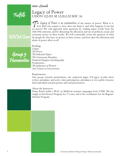$100$ -Levels

Fulfills

UNM Core

### Legacy of Power UHON 122-001 M 12:00-2:30 SHC 16

The Legacy of Power is an examination of the nature of power: What is it, how does one acquire it, how does one keep it, and what happens if one has no power? We will approach these questions by reading major works from th how does one acquire it, how does one keep it, and what happens if one has no power? We will approach these questions by reading major works from the 16th-19th centuries, and by discussing the allocation and use of political, social, and economic power in these works. We will continually revisit the question of what do people do who have no power in their society, and how does the allocation and abuse of power affect us all.

Group 5 Humanities Readings *Utopia The Prince The Federalist Papers The Communist Manifesto Frederick Douglass Autobiography Frankenstein The Subjection of Women 2nd Treatise on Government*

Requirements

One group research presentation; one analytical paper (7-8 pgs.); in-class short writes; attendance and active class participation; attendance at two public lectures; final individual research project and oral presentation.

About the Instructor:

Diane Rawls holds a Ph.D. in Medieval romance languages from UNM. She has taught in the Honors Program for 17 years, and is the coordinator for the Regents' Scholars Program.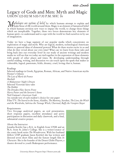# Legacy of Gods and Men: Myth and Magic UHON 122-002 M 5:00-7:30 P.M. SHC 16

Mythologies are systems of belief by which humans attempt to explain and make sense of the world around them. Magic is an element of fantastical belief in which humans envision new ways to impact the world, to change those things which are inexplicable. Together, these two forces demonstrate key elements of human spirit—to understand and to cope with the world we find ourselves in by use of imagination.

Today we have a huge segment of our popular media which concentrates on exploration of magic and myth. Why are logical, modern, technological Americans drawn to pastoral ideas of elemental powers? What do these stories excite in us and what do they reveal about our own time? What can we learn from these tales and bring back into our everyday lives? In our study of ancient writings and modern media we will see that we today are tied together in the expression of these elements with people of other places and times. By developing understanding through careful reading, writing, and discussion we can touch upon the spark that makes us vulnerable, logical, passionate, fickle, dreamy, cruel, loving; that is, human.

#### Readings

Selected readings in Greek, Egyptian, Roman, African, and Native American myths Homer's *Odyssey The Lais of Marie de France Macbeth A Midsummer Night's Dream* Selected Victorian fairy tales *The Hobbit The Dresden Files: Storm Front Harry Potter and the Sorcerer's Stone* Neil Gaiman's *American Gods* An outside text of each student's choice for one paper Film/TV: *The Sword in the Stone*, *Aladdin*, *The Mummy*, *Stardust*, *The Lion, the Witch and the Wardrobe*, *Sabrina the Teenage Witch*, *Charmed*, *Buffy the Vampire Slayer*

#### Requirements

Two five-page analytical papers, an oral presentation, short response papers, excellent attendance and active participation in discussion and daily classwork, and a final, substantial creative project.

#### About the Instructor

Jonatha Kottler has a B.A. in English from UNM and an M.A. from St. John's College. She is a writer/creator of the comic book series *The Wonderverse*. With her husband (fellow UHP graduate Jason Kottler) she has written and directed seven short films and the feature length film *In Character*. She is the founder of the Desert Globe Players, a theatre devoted to youth Shakespeare performance.

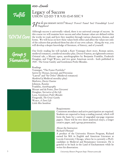100-Levels

Fulfills

### Legacy of Success UHON 122-003 T R 9:30-10:45 SHC 9

*How do you measure success?* Money? Power? Fame? Sex? Friendship? Love?<br>Happiness? Happiness?

# UNM Core

Although success is universally valued, there is no universal concept of success. In this course we will examine how success and other human values are defined within the works we read, and how they manifest through various characters, themes, and forms. We will focus on how these values both reflect and affect the values not only of the cultures that produced them but also of our own culture. Along the way, you will develop a deeper knowledge of literature, of history, and of yourself.



Our lively reading list will include a Kurt Vonnegut short story, Roman satires, medieval romances, a medieval morality play, Doctor Faustus, an eighteenth-century Oriental tale, a Mozart opera, autobiographies by Benjamin Franklin, Frederick Douglass, and Virgil Wyaco, and two great American novels - both published in 1925 - The Great Gatsby and Gentlemen Prefer Blondes.

#### Readings

Vonnegut, "The Foster Portfolio" *Satires* by Horace, Juvenal, and Petronius "Lanval" and "Sir Orfeo" (Medieval romances) *Mankind* (a Medieval morality play) Marlowe, *Doctor Faustus* Johnson, *Rasselas* Franklin, *Autobiography* Mozart and da Ponte, *Don Giovanni*  Douglass, *Narrative of the Life*  Loos, *Gentlemen Prefer Blondes* Fitzgerald, *The Great Gatsby* Wyaco, *A Zuni Life Little Miss Sunshine*

#### Requirements

Consistent attendance and active participation are required. Students are expected to keep a reading journal, which will form the basis for a series of ungraded one-page response papers. There will be two short analytical essays, a longer creative paper, and a group presentation.

About the Instructor: Richard Obenauf

A product of the University Honors Program, Richard earned his MA in English and American Literature at Loyola University Chicago, where he is currently a Ph.D. candidate in Medieval and Renaissance Literature. He is grateful to be back in the Land of Enchantment while he writes his dissertation.

3 *University Honors Program http://honors.unm.edu*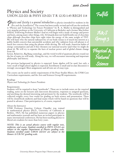# Physics and Society UHON 222-001 & PHYS 105-001 T R 12:30-1:45 REGH 114

Physics and Society is a general introduction to physics intended for students in the arts and the humanities. The course has been totally revised and will use the textbook is "Physics and Technology for Future Presidents" by R. A. Muller (a distinguished and very popular professor at the University of California at Berkeley and a former MacArthur Fellow). Following Professor Muller's lead we will begin with a study of energy and power and learn, among many other things, why Al-Quaeda does not build bombs out of chocolate chips although chocolate chips have eight times the energy of the same weight of TNT. We will learn why the natural radioactivity of our body tissues is of much less interest as a public health concern than automobile accidents and why radiation from cell phones is of much less concern than using the phones while driving. We will study American habits of energy consumption and ask if they threaten our national security (and what we might do about it). We will try to separate the facts of nuclear power and of global climate change from the

fiction. Relativity, Big Bang cosmology, and the weird world of quantum physics round out the list of topics we will study. Along the way, we will encounter interesting and important philosophy and history.

No previous background in physics is expected. Some algebra will be used, but only a rusty recall of high-school algebra is expected. Enrollment is small and in-class discussion is strongly encouraged. Most assignments and all tests are of essay-type.

The course can be used to satisfy requirements of the Peace Studies Minor, the UNM Core Curriculum requirements, and the Arts and Sciences Group III requirements.

#### Readings

*Physics and Technology for Future Presidents*

#### Requirements

Students will be required to keep "notebooks". These are to include notes on the required reading, notes on the lectures and class-room discussions, responses to assigned questions, and anything else deemed interesting and pertinent by the students. The notebooks will be collected roughly every four weeks for grading on both science and presentation. There will be closed-book midterm and final exams which will be based on questions that will be posted in advance. Class participation is, of course, required.

#### About the Instructor

UNM Professor Emeritus Colston Chandler was trained in mathematical physics (Ph.D., University of California at Berkley, 1967). He has published numerous papers in physics and mathematics journals and has been an invited participant in many international conferences. He has been teaching physics to liberal arts students for more than forty years.

*NOTE: This is an actual physics course with regular tests, midterms, and exams. Students enrolled in PHYS 105-001 are subject to the regular Department of Physics grading scale. Students enrolled under UHON 222-001 are subject to the Honors A/CR/NC grading scale.*

Fulfills

A&S Group 3



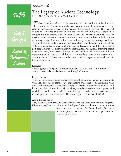# Fulfills

A&S Group 4

Social  $\&$ Behavioral Science

## The Legacy of Ancient Technology UHON 222-002 T R 3:30-4:45 SHC 8

This course is focused on the construction, use, and hands-on study of ancient technologies. Understanding the past requires more than knowledge of the dates of momentous events or the names of significant persons. The material culture and evidence of everyday lives are keys to explaining what happened in the past and why people made the choices they did. Ancient technologies set the stage for modern tools and serve as important comparisons to how and why we use technology today. Students in this course will study ancient technology first-hand. They will test and apply what they will learn about how the past worked. Students will construct and experiment with a range of tools used in many different aspects of past people's lives—from starting fire to crafting stone tools, from throwing spears to grinding corn, from making cordage to casting adobe block. This course will also expose students to issues of both historical and modern resource use, preservation, consumerism and fashion, and our relations to both the larger natural world and the built environment.

#### Readings

*Flintknapping: Making and Understanding Stone Tools* by John C. Whittaker And a course reader available from the library's eReserves.

#### Requirements

This is an experiential course. Students will complete a series of hands-on experiments with ancient forms of technology. Experiments will range from fashioning stone tools to throwing atlatls to twisting cordage to making adobe blocks. Students will keep a portfolio chronicling their activities, complete a series of short papers and worksheets that let them consider how technologies function and the roles they play in both past and present societies. There is a required course fee of \$50.00.

#### About the Instructor

Troy Lovata is a tenured, Associate Professor in the University Honors Program. His courses explore our cultural relationship with the world around us and examine

> our connections to the past. Dr. Lovata holds a Doctorate in anthropology, with a focus on archaeology, from the University of Texas.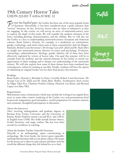# 19th Century Horror Tales UHON 222-003 T 4:00-6:30 SHC 12

For over two hundred years, the Gothic has been one of the most popular forms<br>of literature. Historically, it has been considered more a guilty pleasure than<br>"serious" literature. In fact, however, horror tales are often a of literature. Historically, it has been considered more a guilty pleasure than "serious" literature. In fact, however, horror tales are often as substantive as they are engaging. In this course, we will survey an array of nineteenth-century texts to explore the depth of this mode. We will consider the aesthetic elements of the form, including plotting, characterization, and the sublime. But we will also use the Gothic as a key to understanding nineteenth-century European and American cultures. Bram Stoker's *Dracula*, for example, is a meditation on colonization, gender, technology, and serial crimes such as those committed by Jack the Ripper. Similarly, Robert Louis Stevenson's *The Strange Case of Dr. Jekyll and Mr. Hyde* offers an insight into nineteenth-century theories of science and psychology. Evolution, criminology, industrialization, theology, gender identity—all of these have been effectively exploited by writers of horror tales. Our goal this semester will be to consider both the aesthetic and the cultural elements of the Gothic to enrich our appreciation of these readings and to deepen our understanding of the nineteenth century. We will also explore how some of these themes have been translated into contemporary culture by looking at one film. Finally, students will have the option of submitting an original Gothic text for their final project this semester.

#### Readings

Bram Stoker, *Dracula*; J. Sheridan Le Fanu, *Carmilla*; Robert Louis Stevenson, *The Strange Case of Dr. Jekyll and Mr. Hyde*; Mary Shelley, *Frankenstein*; short stories by Edgar Allan Poe, Charlotte Perkins Gilman, Heinrich von Kleist, and Bernard Capes; two films TBA

#### Requirements

Mid-semester essay; a final project which may include the writing of an original short story or some other creative rendering of the Gothic; two oral presentations; brief homework assignments; good attendance, careful preparation for seminar sessions, and consistent, thoughtful participation in discussion.

#### About the Instructor

After receiving undergraduate and graduate degrees in Russian from Trinity University and the University of Kansas, Renée Faubion earned a second M.A. and a Ph.D. in English from UNM. Her fields include literary theory, Gothic literature, and magic realism. She has won three awards for excellence in teaching.

#### About the Student Teacher: Danyelle Dosonmu

Danyelle is an anthropology major concentrating in archaeology. She loves books, the horror genre especially, and finds that literature tells us a lot about culture. Her hopes for the future are to discover past cultures and share with the world the different things they left behind for us to find.



Group 5 Humanities

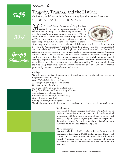# Fulfills





### Tragedy, Trauma, and the Nation: On Memory and Catastrophe in Contemporary Spanish American Literature UHON 222-004 T 12:30-3:00 SHC 12

Much of recent Latin American history has been marked by a series of traumatic events. From the failure of revolutionary and pro-democracy movements and the "dirty wars" that ravaged the continent in the 1970s and 1980s to natural disasters and the spread of epidemics like AIDS, not to mention the cumulative effects of neoliberal economic policies, Latin America has repeatedly been the site



of one tragedy after another. In a certain sense, it is literature that has been the sole means by which the "unrepresentable" content of these devastating events has been represented and "worked through." From so-called "high literature" to testimony and genre fiction like detective and science fiction novels, several works by contemporary Spanish American authors expertly show the relations that link literary aesthetics to questions about politics and history in a way that offers a counter-narrative to the overwhelming dominance of seemingly objective historical forces. Combining literary analysis and theoretical inquiry, we will begin to see the transformative potential of such writing. This seminar will discuss the relationship these novels have to another, "unofficial" discourse, and explore what is produced by the void left open by traumatic events.

#### Readings

We will read a number of contemporary Spanish American novels and short stories in English translation, including: *Before Night Falls*, by Reinaldo Arenas *The Savage Detectives*, by Roberto Bolaño *Ficciones*, by Jorge Luis Borges *The Death of Artemio Cruz*, by Carlos Fuentes *I, Rigoberta Menchu*, by Elizabeth Burgos-Debray *Assumed Name*, by Ricardo Piglia *Kiss of the Spider Woman*, by Manuel Puig *Pedro Páramo*, by Juan Rulfo *Calling All Heroes*, by Paco Ignacio Taibo II We will also examine a selection of shorter critical and theoretical texts available on eReserve.

#### Requirements

Thoughtful, lively, and engaged classroom participation will be crucial to the seminar's success. Students will also be required to present one 25-30 minute provocation based on the assigned readings and participate in regular group email exchanges about the weekly readings. There will be one short (4-5 page) mid-term paper and a final research paper (10-12 pages).

#### About the Instructor

Andrew Ascherl is a Ph.D. candidate in the Department of Comparative Literature at SUNY-Buffalo and is a literary and cultural critic. His areas of research interest include 20th century Spanish American fiction, post-war European philosophy, psychoanalysis, and the cultural politics of the Left from 1905 onwards.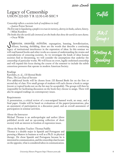$200$ - $L$ evels

# Legacy of Censorship UHON 222-005 T R 12:30-1:45 SHC 9

*Censorship reflects a societies lack of confidence in itself.*

—Justice Potter Stewart

*The first step in liquidating a people is to erase its memory, destroy its books, culture, history.* —Milan Kundera

*The books that the world calls immoral are the books that show the world its own shame.* —Oscar Wilde

*Suppression, censorship, restriction,* expurgation, banning, bowdlerization, seizure, burning, shredding, these are the words that describe a continuing legacy of institutional interference in the expression of ideas. In seizure, burning, shredding, these are the words that describe a continuing legacy of institutional interference in the expression of ideas. In this seminar we will read banned books and other works as a means of understanding the strains and contradictions of censoring societies. As we investigate the kinds of ideas human societies find so threatening, we will consider the assumptions that underlay the censorship of particular works. We will focus on overt, legally enshrined censorship and will expand this focus during the course of the semester to include the subtle censorious pressures that operate in modern American Society.

#### Readings

Karolides, et. al., *120 Banned Books*  Plato, *The Last Days of Socrates*

Five additional books will be chosen from *120 Banned Books* list on the first or second day of class. Five small groups of students will each choose a book to assign (recent or topical books not on the list may be acceptable). The groups will then be responsible for facilitating discussion on the book they choose to assign. There will also be assigned readings on contemporary issues.

#### Requirements

A presentation, a critical review of a non-assigned banned work, an essay, and a final paper. Grades will be based on evaluations of the papers/presentations, plus an assessment of participation in a discussion panel, and an overall assessment of participation in seminar activities.

#### About the Instructor

Michael Thomas is an anthropologist and author (three published novels and an up-coming collection of short stories) with an interest in freedom of expression issues.

#### About the Student Teacher: Thomas Padilla

Thomas is a double major in Spanish and Portuguese and pursuing a Masters in business as well as a Ph.D. in physical therapy. He chose Spanish and Portuguese because he is interested in communication, and the censorship class focuses on the opposite, what is considered taboo in communication.

# Fulfills

A&S Grou

Writing & Speaking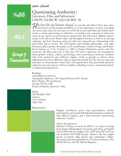# Fulfills



Group 5 Humanities

### Questioning Authority: Literature, Film, and Subversion UHON 222-006 W 1:00-3:30 SHC 28

How have film and literature changed our morals and ethics? How have they<br>informed us of the human condition or of our approach to society, including<br>our mores and values? In this class, we will look at texts and films tha informed us of the human condition or of our approach to society, including our mores and values? In this class, we will look at texts and films that hold at their center a certain questioning of authority—or maybe even a warning of what may come of our current social structures and policies. We will seek to address what it means to be subversive (both today and throughout history, as well as in varying cultures), and how literature and even film has impacted our relationship with each other and to society. We will explore and consider philosophy, civil right literature, plays, poems, dystopias, sci-fi, social humor, exiled writings, and drama. From *Gattaca* to *V for Vendetta* to *1984* to Denise Duhamel's poetry and *The Lysistrata*, the films and texts in this class will seek to question our assumptions about gender, science, culture, psychology, and everything in between. Students will write analytical and reflective papers, work in groups to choose three additional texts from different cultures and time periods for the class to read, and take part in a final project where they will express how they personally question authority (several options will be available, including creative, community-based, or historical perspectives).

Readings Aristophanes, *Lysistrata* Christopher Marlowe, *The Tragical History of Dr. Faustus* Kate Chopin, *The Awakening* George Orwell, *1984* Denise Duhamel, *Queen for a Day*

#### Films:

*The Breakfast Club Gattaca V for Vendetta Fight Club*

Requirements

Regular attendance, active class participation, on-line participation, group and individual presentations, analytical and reflective papers, and a final personal "questioning authority" project.

#### About the Instructor

Kathryn Collison received an M.F.A. in creative writing from Eastern Washington University and a B.A. in English from UNM. She has taught in the UHP since 2007 and was the *Scribendi* 2007-2008 Faculty Advisor. She has taught poetry in prison, high school, and community college. Her poetry has been published in *The Furnace Review*, *New Works Review*, and *The Pedestal Magazine*.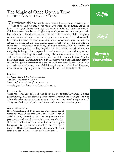$200$ - $L$ evels

## The Magic of Once Upon a Time UHON 222-007 T 11:00-1:30 SHC 22

Fairy tales teach children about the possibilities of life. These are often cautionary<br>tales of fate and fortune, stories about maturation, about danger, and about<br>how to make good choices. Fairy tales explore the boundari tales of fate and fortune, stories about maturation, about danger, and about how to make good choices. Fairy tales explore the boundaries of human experience. Children are sent into dark and frightening woods, where they must conquer their fears. Women are imprisoned and must use their wits to escape, while young men are sent on impossible quests from which they emerge as victors. Fairy tales provide lessons about love between parent and child, between men and women, and between subject and ruler, but they also include stories about jealousy, death, mutilation and torture, sexual assault, child abuse, and extreme poverty. We all recognize the character types: goblins, witches, frogs that turn into princes and princes who are really disguised frogs, wicked step-mothers, and beautiful princesses. Although many students have grown up with Walt Disney adaptations of fairy tales, this course will re-introduce students to the classic fairy tales of the Grimm Brothers, Charles Perrault, and Hans Christian Anderson. In this class we will study the history of fairy tales and the gender stereotypes that have evolved from these stories. We will also discuss the historical construction of childhood, the purpose of children's literature, strategies for writing fairy tales, and the societal values revealed in fairy tales.

Fulfills

A&S

Group 5 Humanities

#### Readings

*The Classic Fairy Tales*, Norton edition *The Annotated Brothers Grimm The Complete Fairy Tales of Charles Perrault* A reading packet with excerpts from other works

#### Requirements

Write your own fairy tale, lead class discussion of one secondary article, 2-3 oral presentations, a final project that you will devise. The final project might consist of a short theatrical production, a board game, short story, or musical interpretation of a fairy tale. Active participation in class discussions and activities is required.

#### About the Instructor

Sheri Karmiol has a Ph.D. in 16th and 17th century British literature. Most of the classes that she teaches focus on social inequity, prejudice, and the marginalization of people who are classified as expendable members of society. Sheri has been honored with awards for her teaching and has received two fellowships, including one for study at the United States Holocaust Memorial Museum. Sheri also teaches classes on the Holocaust and on intolerance.

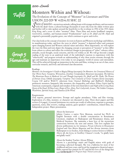# Fulfills

A&S



## Monsters Within and Without: The Evolution of the Concept of "Monster" in Literature and Film UHON 222-009 W 4:00-6:30 SHC 22

**Stories of monsters—mysterious animals, talking beasts with strange attributes, and encounters**<br>with the dead—form a cultural heritage thousands of years old, from the oldest written epics<br>and further still to tales spoke with the dead—form a cultural heritage thousands of years old, from the oldest written epics and further still to tales spoken around the hearth-fire to the re-release in 1952 of the 1933 classic *King Kong,* and a score of other "monster" films. These films and stories headlined vampires, werewolves, zombies, and human-created "Frankensteins" such as *Dr. Jekyll and Mr. Hyde* and reignited a perennially popular genre, one which continues to grow and evolve.

Our class looks at the concept of monster: its roots in Eastern and Western mythology and folklore, its manifestations today, and how the ways in which "monster" is depicted reflect and comment upon changing Eastern and Western cultural values and ethics. Most importantly, we will explore the ways the films and texts depict the changing concept or perception of "monster" as they differ from culture to culture and reflect the evolution/changes in perceptions of "other" cultures, ethics, attitudes, social thought, social concerns, and the evil within us all. We will go beyond a simple reading of the texts to an analytical study of the individual's reaction to experiences with this "otherworld," and progress towards an understanding of why these stories resonate through the ages and maintain an importance even today in our pragmatic world of science and rationalism. This will be achieved through an immersion in the texts and films, writing in an out of class, extracurricular research, and lively and informed class discussions.

#### Readings

*Monsters: An Investigator's Guide to Magical Beings* (excerpts); *On Monsters: An Unnatural History of Our Worst Fears*; *Vampires, Werewolves, Zombies: Compendium Monstrum* (excerpts); *The Inferno*; *The Monstrous Races in Medieval Art and Thought* (excerpts); *Dr. Jekyll and Mr. Hyde*; *The Picture of Dorian Gray*; *Othello* (excerpts); *Vampires: Two Centuries of Great Vampire Stories* (excerpts). Course CD and/or WebCT: selections from *Classical Mythology* and *Bullfinch's Mythology*, prehistoric monsters, Sasquatch, lake monsters, the chupacabra, and others. Films: *Gojira* (and its American counterpart), originals and remakes of the texts listed above and *Night of the Living Dead*, *Dawn of the Dead*, *28 Days Later*, *Reign of Fire*, *Alien*, *Pan's Labyrinth*, *Avatar*, *The Golden Compass*, *Watchmen*, *Spirited Away*, and *Naussica of the Wind.*

#### Requirements

Oral reports, personal interviews. Prompt and regular attendance. Video and film viewing. Exploration of a film, monster, or character not discussed in class. Three short papers and film reviews (3-4 pages). A journal (minimum two entries per week) of reflections, response to prompts, questions, notes, film reviews, readings analysis, guest speakers' contributions, related films, etc. Independent project. Major presentation.



#### About the Instructor

Juliette Cunico, a native New Mexican, received her Ph.D. in English literature with a double concentration in Renaissance Literature, emphasis on Shakespeare and Renaissance drama, and Medieval literature. She maintains a keen love of the mysterious connections between the seen and unseen. This love explains her diverse publications in, for instance, *Private Libraries in Renaissance England* and *New Mexico Magazine* and her diverse interests—from Shakespeare to ice hockey, from fishing to science fiction to folklore. Above all, she loves, in Geoffrey Chaucer's words, "to gladly learn and gladly teach."

#### About the Student Teacher: Alyson Wilson

11 **University Honors Program http://honors.unm.edu scare us the most. In the most. In the most.unm.edu** Alyson is a psychology major and English minor with goals of becoming a physical therapist. She was a ballerina for most of her childhood and teen years, and loved the imaginative theatrical aspect. Ballet exposed her passion for PT and fed her love of the things that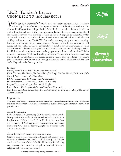# J.R.R. Tolkien's Legacy UHON 222-010 T R 11:00-12:15 SHC 16

Vastly popular, immensely learned, and profoundly spiritual, J.R.R. Tolkien's epic trilogy *The Lord of Rings* has spawned 1970s cult following, as well as a 21st century blockbuster film trilogy. Tolkien's books have remained literary classics, as well as foundational texts in the genre of modern fantasy. In recent years, national and international surveys even identified Tolkien as the most popular or influential writer of the 20th century. Yet, while millions of readers have enjoyed and treasured *The Lord of Rings* and its precursor *The Hobbit*, few readers seriously study the myth, meaning, historical sources, and literary background of Tolkien's work. In this course, we will survey not only Tolkien's literary and scholarly work, but also of other medieval works that influenced Tolkien's writing and the mythic constructs that underlie his epic vision. In addition, we will examine some of the languages, music, drama, and visual art Tolkien created in his career. While hard-working novices to Tolkien are welcome, newcomers should be advised that this course expects at least a strong, basic knowledge of Tolkien's primary literary works. Students are strongly encouraged to read *The Hobbit* and *The Lord of the Rings* before the first day of class.

# Fulfills

A&S

Group 5 Humanities

#### Readings

*Beowulf*, trans. Burton Raffel (or any complete edition) J.R.R. Tolkien, *The Hobbit*, *The Fellowship of the Ring*, *The Two Towers*, *The Return of the King*, *A Tolkien Reader*, *The Silmarillion* J.R.R. Tolkien, trans. *Sir Gawain and the Green Knight* Snorri Sturluson, *The Prose Edda*. Trans. Jean I. Young Eugene Vinaver, ed., *King Arthur and His Knights* Robert Foster, *The Complete Guide to Middle-Earth* (Optional) Neil Isaacs and Rose Zimbardo, eds., *Understanding the Lord of the Rings: The Best of Tolkien Criticism*

#### Requirements

Two analytical papers, one creative research project, one oral presentation, weekly electronic exercises, final portfolio, regular group meetings outside of class, attendance and active class participation.

#### About the Instructor

Leslie Donovan is a Continuing UHP Faculty Member and the faculty advisor for *Scribendi*. She earned her B.A. and M.A. in English from UNM and her Ph.D. in Medieval literature from the University of Washington. Her recent publications include studies of J.R.R. Tolkien, Beowulf, Anglo-Saxon women saints, and Honors teaching.

About the Student Teacher: Megan Abrahamson

Megan is a super-senior majoring in English and history with a minor in Medieval studies. She has published on J.R.R. Tolkien and is the President of the UNM Hobbit Society. Even having just returned from studying abroad in Scotland, Megan is delighted to be returning to Honors!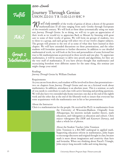### $200$ -Cevels

Fulfills



Group 2 Mathematics

## Journey Through Genius UHON 222-011 T R 11:00-12:15 SHC 9

We will study examples of the works of genius of about a dozen of the greatest mathematicians of all time ranging from early Greeks through Europeans of the twentieth century. We will look at these ideas systematically using our main text *Journey Through Genius*. In so doing, we will try to gain an appreciation of their work as we would try to appreciate Bach or Mozart by listening with great care to some of their works of genius. We will form six groups of students, two to three to a group, and each group will select two of our twelve chapter subjects. The groups will present to the rest of us some of what they have learned in their chapter. We will have extended discussions on these presentations, and the other students will formulate questions to further discussion. In addition to our detailed mathematical work, we will look at the lives and personalities of some fictional but true to life mathematicians as portrayed in three novels and one play. To appreciate mathematics, it will be necessary to delve into proofs and algorithms, for they are the very stuff of mathematics. If you have always thought that mathematics and excruciating boredom were different names for the same thing, this seminar just might change your mind.

Readings *Journey Through Genius* by William Dunham

#### Requirements

As you can see from above, each student will be involved in three class presentations two on chapters from *Journey Through Genius* and one on a fictional work about mathematics. In addition, attendance is an absolute must. This is a seminar, so each of you needs to contribute to each class with active listening and probing questions. We will also have two extended take-home exercises: one due at the end of the eighth week and the other due at the end of the fifteenth week to insure that everyone has some acquaintance with the mathematics not in his or her presentations.

#### About the Instructor

Chris is a mathematician for the people. He received his Ph.D. in mathematics from

the University of Wisconsin-Madison. Originally from Albuquerque, his interests include number theory, math education, and videogames as education and culture. Chris enjoys videogames like *DDR* and *Katamari Damacy,* and takes a whole lot of photos.

#### About the Student Teacher: John Tennison

John Tennison is a BA/MD undergrad in applied math. Supporting education reform in mathematics, John hopes to encourage discourse and original thought in class, because math is more about imagination and creativity than facts and formulas. When not thinking about Pascal's Triangle, John enjoys long moonlit walks and swing dancing.

13 *University Honors Program http://honors.unm.edu*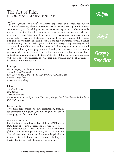$200$ - $L$ evels

# The Art of Film UHON 222-012 M 1:00-3:30 SHC 12

Film expresses the gamut of human expression and experience. Goofy<br>buddy comedies, biopics of famous writers or musicians, painfully honest<br>documentaries swashbuckling adventures superhero epics or trite-but-eniovable buddy comedies, biopics of famous writers or musicians, painfully honest documentaries, swashbuckling adventures, superhero epics, or trite-but-enjoyable romantic comedies, film reflects who we are, what we value and aspire to, what we may never become. Yet as the audience we may never consciously appreciate or even notice the larger ideas of a film because we are caught up in it. The goal of this course is to pull our eyes from the screen's spectacle and apply our minds to what a film is actually saying. To achieve this goal we will take a three-part approach: (1) we will cover the history of film as a medium to see its dual identity as popular culture and art, (2) we will study screenplays and the films they become to see how words on a page come alive on screen, and (3) we will write short screenplays and then shoot and edit them, culminating in the third UHP Short Film Festival where our peers will be able to see our on-screen efforts. Short films we make may be of a quality to be entered into other festivals.

#### Readings

*Five Screenplays* by William Goldman *The Hollywood Standard Save The Cat! The Last Book on Screenwriting You'll Ever Need Graphic Storytelling Cinematic Storytelling*

#### Films:

*The Bicycle Thief Pulp Fiction The Princess Bride* Other excerpts from: *Fight Club*, *Notorious*, *Vertigo*, *Butch Cassidy and the Sundance Kid*, *Citizen Kane*.

#### Requirements

Two three-page papers, an oral presentation, frequent assignments in a film journal, six mini-assignments, a short screenplay, and final short film.

#### About the Instructor

Jonatha Kottler has a B.A. in English from UNM and an M.A. from St. John's College. She is a writer/creator of the comic book series *The Wonderverse*. With her husband (fellow UHP graduate Jason Kottler) she has written and directed seven short films and the feature length film *In Character*. She is the founder of the Desert Globe Players, a theatre devoted to youth Shakespeare performance.



A&S

Group 7 Fine Arts

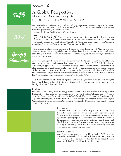

### A Global Perspective: Modern and Contemporary Drama UHON 222-013 T R 9:30-10:45 SHC 16

*The contemporary theatre is something of an 'imagined museum' capable of being transformed into immediate experience. A successful effort brings the spectator under its spell, creates resistance, gets discussed, and makes one think.* —Margot Berthold, The History of World Theatre.

A&S

If his seminar will explore an exciting and broad range of the most critical dramatic works<br>in the second half of the twentieth century. We will read, contemplate, actively discuss and<br>write about plays and playwrights fro in the second half of the twentieth century. We will read, contemplate, actively discuss and write about plays and playwrights from China, South Africa, Australia, France, Spain, Germany, Argentina, Trinidad and Tobago, Ireland, England, and the United States.

The thematic emphasis of the class is the diversity of voices found in both Western and non-Western theatre. We will especially consider where these dramatic voices coalesce, and where they differ, such as in their various reactions to colonialism, racism, and the rights of women and indigenous people.

As we read and digest the plays, we will also carefully investigate each country's theatrical history, as well as the major accomplishments of our playwrights, such as Bertolt Brecht's dialectical theatre; Absurdism, as typified in the work of Samuel Beckett; August Wilson's unparalleled examination of African-Americans, in his cycle of plays that reflect upon African-American life in every decade of the twentieth century; Athol Fugard's response to the Apartheid era in South Africa; Maria Irene Fornes and Caryl Churchill's unabashedly Feminist plays in the 1970s and 1980s; and Brian Friel's theatrical response to the Irish "Troubles" in the early 1970s.

This class will spend considerable time exploring and discussing the ways in which our playwrights have pushed theatrical boundaries in new directions, thus ensuring that world drama remains healthy, alive, and full of fresh ideas.

#### Readings

Frederico García Lorca, *Blood Wedding*; Bertolt Brecht, *The Good Woman of Setzuan*; Samuel Beckett, *Krapp's Last Tape*; Raw Lawler, *Summer of the Seventeenth Doll*; Brian Friel, *The Freedom of the City*; Maria Irene Fornes, *Fefu and Her Friends*; Derek Walcott, *Pantomime*; Caryl Churchill, *Top Girls*; Athol Fugard, *"MASTER HAROLD" … and the boys*; Gao Xingjian, *The Bus Stop*; August Wilson, *Fences*; Griselda Gambaro, *Personal Effects*; Timberlake Wertenbaker, *Our Country's Good*; Yasmina Reza, *Art*

#### Requirements

Consistent attendance and careful preparation for every class; thoughtful contribution to class discussion; three response papers (3-4 pages each); attendance at a local production of a play; a twopage research paper proposal; a conference with the instructor about this proposal; a rough draft of a six to eight-page research paper, and a final draft of this research paper; a group project: a presentation about a play, playwright or an aspect of theatrical history from one of the countries we have been studying.

#### About the Instructor

Maria Szasz is a recent graduate of the UNM English Ph.D. program, where she specialized in drama and Irish literature. Maria won the 2008 Thomas L. Popejoy prize for her dissertation about the Irish playwright Brian Friel, which she is happily revising.

#### 15 *University Honors Program http://honors.unm.edu*

Group 5 Humanities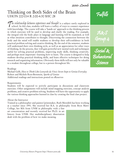$200$ - $L$ evels

## Thinking on Both Sides of the Brain UHON 222-014 R 2:00-4:30 SHC 28

 $\sum$  he relationship between experience and thought is a subject rarely explored in school. In this class, students will learn a variety of ways to connect experience with knowledge. The course will take a 'hands on' appr school. In this class, students will learn a variety of ways to connect experience with knowledge. The course will take a 'hands on' approach to the thinking process in which exercises will be used to develop and clarify the reading. For example, the integral role the body plays in language and learning will be examined, as well as what intuition contributes to thought. Discovering the connection between the body and the mind will enable students to develop their self-confidence in both practical problem solving and creative thinking. By the end of the semester, students will understand their own thinking style, as well as an appreciation for other ways of thinking. In the process, they will gain powerful new mental tools and techniques useful for solving practical problems, improving study skills, thinking creatively, and perhaps most important—learning how to learn. The course is designed to help students develop practical thinking skills, and learn effective techniques for doing research and organizing information. Obviously these skills will not only be valuable to a student throughout college, but to a person throughout life.

Readings

Michael Gelb, *How to Think Like Leonardo da Vinci: Seven Steps to Genius Everyday* Robert and Michele Root-Bernstein, *Sparks of Genius* Additional readings and instructions posted on eReserves

#### Requirements

Students will be expected to actively participate in discussions and classroom exercises. Other assignments will include mind mapping exercises, concept analysis problems, and creative problem solving. Students will have the opportunity to apply the various thinking approaches learned in class by creating the final class project.

#### About the Instructor

Trained as a philosopher and painter/printmaker, Ruth Meredith has been working as a teacher since 1991. She received her B.A. in philosophy from Bryn Mawr

College, her MA from UNM in philosophy with a fine art concentration and recently received her Ph.D. in art history from UNM. Her multidisciplinary dissertation dealt with the problem of how we make meaning.

Fulfills

A&S Group

Social  $\&$ Behavioral Science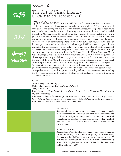Fulfills



Group 7 Fine Arts

# The Art of Visual Literacy UHON 222-015 T 12:30-3:00 SHC 8

Tony 'Kushner put it best when he said, "Art can't change anything except people—<br>but art changes people and people can make everything change." Posters as a form of but art changes people and people can make everything change." Posters as a form of mass culture first emerged in mid-nineteenth-century Europe, but the poster as popular art was actually reinvented in Latin America during the mid-twentieth century and exploded throughout North America. The simplicity and directness of the poster made this art form a powerful instrument for announcing a society's mood of the moment, transmitting political and cultural messages, and mobilizing mass action. Susan Sontag argues that the poster "aims to seduce" by commanding attention within the public sphere, not on the basis of its message or information, but through its visual appeal. With so many images and ideas competing for our attention, it is particularly important that we learn both to understand the images that surround us and to express our own desires for change in our world through our own images. In this class, we will use *The Design of Dissent* by Milton Glaser and Mirko Ilic and George Orwell's classic yet still very current *1984*, as well as others, to guide us in dissecting the historic goal of visual propaganda in current and earlier cultures to consolidate the power of the state. We will also examine the art of the outsider, who serves as a social critic using the art of mass culture as a looking glass to offer viewers new perspectives. Students will not only read and discuss the assigned texts, but will also produce and selfpublish their own visual media/graphics projects. Much of this course will consist of handson experience creating art through basic printing techniques as a means of understanding the theoretical concepts in the readings. Students do not need art experience or training to succeed in this class.

#### Readings

Susan Sontag, *On Photography* Milton Glaser and Mirko Ilic, *The Design of Dissent* George Orwell, *1984*

Roni Henning, *Water-based Screenprinting Today: From Hands-on Techniques to Digital Technology*

Additional readings or film viewings may be taken from the following sources: *Graffiti World: Street Art from Five Continents* by Nicholas Ganz; *Wall and Piece* by Banksy; documentary film *Bomb It: Street Art is Revolution* by Jonathan Reiss

#### Requirements

Students will be required to: attend class and participate regularly in all class discussions, create several short art projects to include a collage, printed poster, bumper sticker, among others; one oral presentation on selected readings or an artist's works; one short research paper; a final portfolio to include a formal, written artist's statement.

#### About the Instructor

Regina Araujo Corritore has more than twenty years of making art and exhibiting professionally. Originally from New York, she received her B.F.A. in advertising design from the NY Institute of Technology and her M.A. in fine art/printmaking from UNM. Regina has taught at UNM-Valencia since 2000 and the UHP since 2009.

17 *University Honors Program http://honors.unm.edu*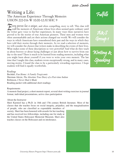$200$ - $L$ evels

## Writing a Life: The American Experience Through Memoirs UHON 222-016 W 10:00-12:30 SHC 9

Levery person has a unique, and often compelling, story to tell. This class will<br>read the memoirs of Americans whose lives often seemed quite ordinary until<br>the writer gave voice to his/her experiences. In many ways these read the memoirs of Americans whose lives often seemed quite ordinary until the writer gave voice to his/her experiences. In many ways these narratives have proved to be the stories of true American pioneers. These men and women were often unremarkable and yet their actions changed our world. We will consider the ways in which Americans have remembered their past and the ways in which they have told their stories through their memoirs. As we read a selection of memoirs, we will consider the choices that writers make in describing the events of their lives. What makes some of these descriptions so very powerful? And what do they teach us about bravery or about facing challenges or just about how to survive from one day to the next? There is much to be learned from reading memoirs, including what you might learn about yourself if you were to write your own memoir. The last time that I taught this class, students wrote exceptionally strong, and in many cases, moving stories. I found the class to be a particularly rewarding experience. I hope students will find it equally worthwhile.

Fulfills

A&S Group 1

Writing & Speaking

#### Readings

Bechdel, *Fun Home: A Family Tragicomic* Sherman Alexie, *The Absolute True Diary of a Part-time Indian* Robinson, *I Never Had it Made* Reading packet with additional short readings

#### Requirements

A memoir final project, a short memoir report, several short writing exercises in journal format, individual presentations, active class participation

#### About the Instructor

Sheri Karmiol has a Ph.D. in 16th and 17th century British literature. Most of the classes that she teaches focus on social inequity, prejudice, and the marginalization

of people, who are classified as expendable members of society. Sheri has been honored with awards for her teaching and has received two fellowships, including one for study at the United States Holocaust Memorial Museum. Sheri also teaches classes on the Holocaust and on intolerance.

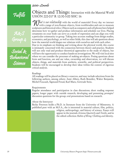# Fulfills



 $\overline{\text{Social }z}$ Behavioral Science

### Objects and Things: Interaction with the Material World UHON 222-017 R 12:30-3:00 SHC 16

What is our relationship with the world of materials? Every day we interact with a range of non-human objects, from toothbrushes and cars to museum sculptures and historical relics. Objects such as computers and cell phones have helped determine how we gather and produce information and schedule our lives. Placing ornaments on your body can serve as a mode of expression and can align you with a particular community or group. Taking into account readings from design studies, economics, and psychology, as well as other fields, this class will ask questions about how the material world shapes our relations with ourselves and with each other. Due to its emphasis on thinking and writing about the physical world, this course is intimately concerned with the connection between theory and practice. Students will not only read and produce theoretical approaches to the study of objects, but will have the opportunity to conduct hands-on investigations. We will visit local sites where we can consider the processes of making art-objects. Posing questions about form and function, use and use value, ownership and observation, we will discuss objects, things, and materials from aesthetic, scientific, and political perspectives. Students will be encouraged to develop their ideas within the context of rigorous critical analysis.

#### Readings

All readings will be placed on library e-reserves, and may include selections from the following authors, among others: Anni Albers, Ruth Benedict, Walter Benjamin, Michel Foucault, Sigmund Freud, Karl Marx, Gertrude Stein.

#### Requirements

Regular attendance and participation in class discussions; short reading response papers; longer paper with outside research; developing and presenting prompts/ discussion questions for the group; oral presentations based on research.

#### About the Instructor

Becky Peterson holds a Ph.D. in literature from the University of Minnesota. A published poet with an M.F.A., she is interested in material culture, film, politics,

religion, anthropology, and history of science. Essays will appear in the journals *Arizona Quarterly* and *Textile*, and in the edited collection *Habits of Bring: Clothing and Identity*.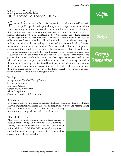$300$  Levels

# Magical Realism UHON 302-001 W 4:00-6:30 SHC 28

From its birth in the 1930s (or earlier, depending on whom you ask) in Latin<br>America (or Europe, depending on whom you ask), magic realism is a mode (or<br>senre depending on whom you ask) that has a complex and controversial America (or Europe, depending on whom you ask), magic realism is a mode (or genre, depending on whom you ask) that has a complex and controversial history. It may or may not share traits with modes such as the Gothic, the fantastic, or even science fiction. It may be a catch-all term used by Western scholars to lump together a wide range of non-Western literatures—or it may describe a world-wide rejection of late-nineteenth-century Realism. There is much that can be debated about magic realism, but there are also some things that we do know for certain: first, the term refers to literature in which an otherwise "normal" world is fractured by periodic eruptions of the marvelous—an insomnia plague, a circus aerialist hatched from an egg, or the appearance of ghosts. Second, it appears to be practiced in a wide range of cultures and to be concerned with political and ethical issues. Third, many of the greatest literary works of the last century can be categorized as magic realism. We will read a small sampling of these novels from an array of cultures, explore various theories about what magic realism is and how it does what it does, and consider why the term itself is so politically charged. Students will also have the option of writing their own magic realist story as part of the final research project. For questions, please contact Dr. Faubion at sanren@unm.edu.

#### Readings

Marquez, *One Hundred Years of Solitude* Saramago, *Blindness* Morrison, *Beloved* Carter, *Nights at the Circus* Allen, *Zelig* (film) eReserve collection of short stories

#### Requirements

Two brief papers; a final research project which may result in either a traditional analytic argumentative research paper or an original short story and accompanying analytic introduction; two presentations; strong preparation for and participation in class discussion.

#### About the Instructor

After receiving undergraduate and graduate degrees in Russian from Trinity University and the University of Kansas, Renée Faubion earned a second M.A. and a Ph.D. in English from UNM. Her fields include literary theory, Gothic literature, and magic realism. She has won three awards for excellence in teaching.



A&S

Group 5 Humanities

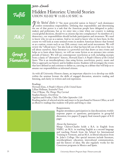# Fulfills

A&S

Group 5 Humanities

# Hidden Histories: Untold Stories UHON 302-002 W 11:00-1:30 SHC 16

If the 'United States is "the most powerful nation in history" such dominance<br>confers tremendous responsibility. Defining that responsibility and determining<br>the use of that power is a task that the American people have de confers tremendous responsibility. Defining that responsibility and determining the use of that power is a task that the American people have delegated to policy makers and politicians, but as we enter into a time when our country is making crucial global decisions, should we as citizens slip into complacency? As members of a democracy, our responsibilities should include participation and awareness. We need to know who we are as a nation. And so we need to know who we have been. In this course we will look at some seminal events in modern American history that formed us as a nation, events such as our 20th century wars and social movements. We will review the "official story," but also look at what has been left out of the story that we tell about ourselves. Since literature is a powerful tool that draws us into events and helps us to learn about history, we will use some fiction as an entrance into certain periods of history. We will use contemporary non-fiction as well, including excerpts from a classic of "alternative" history, Howard Zinn's *A People's History of the United States*. This is an interdisciplinary class using fiction, non-fiction, poetry, music and film to approach our history and its hidden stories. Students will investigate the events that have defined us and continue to define us, carrying on a debate that will help us to assume our responsibilities as informed citizens.

As with all University Honors classes, an important objective is to develop our skills within the seminar format: the skills of engaged discussion, attentive reading and listening, and clarity in written and oral expression.

Readings

Howard Zinn, *A People's History of the United States* Lillian Hellman, *Scoundrel Time* Tim O'Brian, *The Things They Carried* Stephen Kinzer, *Overthrow* Aguilera and Fredes, *Chile: The Other September 11th* Reading packet of selected articles and essays to be purchased in Honors Office, as well as eReserve readings that students will print and bring to class

#### Requirements

Regular attendance; participation in class discussions; weekly response papers or questions; participation in group-led discussion; two papers (5 pages); final research paper of 8-10 pages

#### About the Instructor

Margo Chávez-Charles holds a B.A. in English from NMSU, an M.A. in teaching English as a second language and teaching French from the School for International Training in Vermont, and an M.A. in liberal education from St. John's College. Her special interests include literature, interdisciplinary education, intercultural communication, and the history of ideas. She also regularly works for the *Conexiones* programs in Mexico and Spain.

21 *University Honors Program http://honors.unm.edu*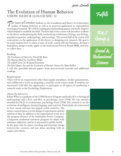$300$ - $L$ evels

# The Evolution of Human Behavior UHON 302-003 R 12:30-3:00 SHC 12

This course will introduce students to the foundation and theory of evolutionary studies of human behavior as well as its practical application to experimental sociological research. We will be reading ground-breaking papers and book chapters which helped to establish the field. The first half of the course will introduce students to the theory underpinning the field, synthesizing evolutionary biology, psychology, population genetics, anthropology, and sociology. The second half of the course will concentrate on the application of the theory to designing new research. My goal is to teach students how to select a topic of study, search relevant literature, develop a hypothesis, design a study, apply to the Institutional Review Board (IRB), and how to collect data.

#### Readings

*The Evolution of Desire* by David M. Buss *The Mating Mind* by Geoffrey Miller *The Selfish Gene*, by Richard Dawkins *The Red Queen: Sex and the Evolution of Human Nature* by Matt Ridley I will also provided selected papers from peer-reviewed journals and additional readings.

#### Requirements

There will be no requirements other than regular attendance, weekly presentations, and collaborative work on preparing a scientific social science study. If students are interested I will offer the opportunity to participate in all aspects of conducting a research study in the Psychology Department.

#### About the Instructor

Ethan White is a graduate of the UNM Honors Program and hold a B.S. in biological anthropology and a B.A. and M.S. in psychology from UNM. He was recently awarded his Ph.D. in evolutionary psychology from UNM. His research is on the evolution of intelligence, human language, and creativity. Particularly, he is interested

in how sexual selection has shaped verbal creativity. His minor concentration is in the design of experiments and the analysis of data. In addition to his experimental work, he is the program director of the Endorphin Power Company, a long-term residential treatment program for adults with substance addiction, and he is interested in public health. In his spare time he enjoys traveling and restoring vintage motorcycles, scooters, and just about anything with an engine and wheels.

Fulfills

A&S Group

Social  $\&$ Behavioral Science

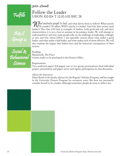300-Levels

Fulfills





# Follow the Leader UHON 302-004 T 12:30-3:00 SHC 28

**What motivates people to lead, and what drives them to follow? What exactly**<br>IS a leader? Or rather, WHO exactly is a leader? And why does society need<br>leaders? This class will look at examples of leaders, both good and e IS a leader? Or rather, WHO exactly is a leader? And why does society need leaders? This class will look at examples of leaders, both good and evil, and their characteristics; it is not a how-to seminar in becoming a leader. We will attempt to understand how and why some people take on the challenge of leadership, willingly or not, and why others follow. I am especially curious about what makes a good leader, and what makes a bad leader, and what makes each of them effective. We will also examine the impact that leaders have and the historical consequences of their actions.

Readings Machiavelli, *The Prince* Course reader to be purchased in the Honors Office.

#### Requirements

Two analytical papers (5-8 pages); one or two group presentations; final individual project, presentation and paper; active and regular participation in class discussion.

#### About the Instructor

Diane Rawls is the faculty advisor for the Regents' Scholars Program, and has taught in the University Honors Program for seventeen years. She does not necessarily consider herself to be a leader, although sometimes people do seem to follow her.

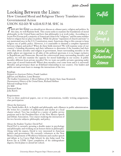$300$ - $L$ evels

### Looking Between the Lines: How Unstated Moral and Religious Theory Translates into Governmental Action UHON 302-005 W 6:00-8:30 P.M. SHC 16

There are two things you should never discuss at a dinner party: religion and politics. In this class, we will examine both. This course seeks to examine the foundations of moral philosophy in the United States and how th this class, we will examine both. This course seeks to examine the foundations of moral philosophy in the United States and how that philosophy is at work today. According to a recent Pew Forum poll, a majority of Americans claim to be "religious," and the same number believes religion has no place in politics. While the phrase "separation of church and state" is not mentioned once in the U.S. Constitution, many Americans cling to this concept to keep religion out of public policy. However, is it reasonable to demand a complete separation between religion and policy? When do these fields intersect? We will examine some of our country's founding documents and their influences to determine if the founders had their own ideas about morality and religion in government. Issues surrounding morality in the public sphere are important to all sides of the political spectrum; it is no longer exclusive to Republicans and Democrats. Beyond the controversial issues surrounding morality and politics, we will also examine the capacity for moral leadership in our society. Is public morality different from private morality? Do we want our public servants operating under some type of moral framework? Where does morality even come from and is it universal? Morality and governance share an ill-defined relationship in our country. Our leaders and public servants must learn to manage the interactions of the two.



A&S Group

Social  $\&$ Behavioral Science

#### Readings

*Religion in American Politics*, Frank Lambert *Jefferson and Madison*, Lenni Brenner *The Godless Constitution: A Moral Defense of the Secular State*, Isaac Kramnick *Documentary History of the United States*, Richard Heffner Selected readings from: J.S. Mill Immanuel Kant John Rawls

#### Requirements

Two to three analytical papers, one or two presentations, weekly writing assignments, class participation

#### About the Instructor

Trey Smith holds a B.A. in English and philosophy and a Masters in public administration.

He writes for a number of publications and teaches at a local charter school. Trey has worked in a variety of public service positions and is the President-Elect of the New Mexico Speech and Debate Association. Trey enjoys studying the interaction of his two favorite subjects: philosophy and policy.

#### About the Student Teacher: David Perl

David Perl is currently perusing a double major in psychology and philosophy and working on an honors thesis in philosophy. Along with his majors, David is very interested in American politics and government. He currently volunteers at the New Mexico Department of Workforce Solutions and coaches speech and debate at La Cueva High School; he also helps teach Tae Kwon Do at UNM. Upon completion of his undergraduate degrees, David plans to attend law school.

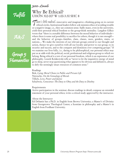# Fulfills



Group 5 Humanities

# Why Be Ethical? UHON 302-007 W 1:00-3:30 SHC 8

There's little radical—innovative and imaginative—thinking going on in current<br>ethical circles. Institutional leaders follow a de minimis ethics of avoiding trouble<br>or a negative image i.e., they use common sense. Sadly m ethical circles. Institutional leaders follow a de minimis ethics of avoiding trouble or a negative image, i.e., they use common sense. Sadly many, even in the university, yield their personal ethical freedom to the group-think mentality. Langdon Gilkey wrote that "there is a notable difference between the moral behavior of individuals where there is some real possibility to sacrifice for others, though it is rare enough! and the behavior of groups—families, clans, classes, races, genders, states, or nations.... We make the interests of our relevant groups central to our thought and action, thence we give ourselves with all our loyalty and power to our group, to its security and success, and to the conquest and dominion over competing groups." If we examine our lives fully, i.e., daring to be philosophical, our personal ethics may put us at odds with the political, social, professional and religious group to which we belong. Being ethical is a test of our personal freedom, which is an expression of our philosophy. Leszek Kolakowski tells us "never to let the inquisitive energy of mind go to sleep, never stop questioning what appears to be obvious and definitive, always to defy the seemingly intact resources of common sense."

#### Readings

Bok, *Lying: Moral Choice in Public and Private Life*  Nietzsche, *On the Genealogy of Morals* Tillich, *Love, Power and Justice* Schulweis, *Conscience: The Duty to Obey and the Duty to Disobey*

#### Requirements

Active participation in the seminar; discuss readings in detail; compose an extended statement of your personal ethics; write a critical study approved by the instructor.

#### About the Instructor

Ed DeSantis has a Ph.D. in English from Brown University; a Master's of Divinity from Georgetown Theological Center; a licentiate in philosophy and a Master's in English from Fordham University.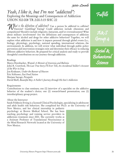### *Yeah, I like it, but I'm not "addicted":* Exploring the Meanings and Consequences of Addiction UHON 302-008 TR 2:00-3:15 SHC 22

What is the definition of addiction? Can a person be addicted to caffeine?<br>Exercise? Gambling? Eating? Could addiction include obsessions and<br>compulsions? Should it include religiosity fantacism and/or overzealousness? Wha Exercise? Gambling? Eating? Could addiction include obsessions and compulsions? Should it include religiosity, fantacism, and/or overzealousness? What about military involvement? Are the definitions and consequences of addiction the same for alcohol and drugs for other addictive behaviors? Together, we will explore what addiction is and how it impacts personal through global events (i.e., biology, physiology, psychology, national spending, international relations, the environment). In addition, we will review what indivdiual through public policy prevention and intervention strategies exist and determine their efficacy in reducing different addictive behaviors. Be prepared for critical analysis and ready to provide thoughtful contributions on our journey through addiction.

#### Readings

Marya Hornbacher, *Wasted: A Memoir of Anorexia and Bulimia* John R. Crawford, *The Last True Story I'll Ever Tell, An Accidental Soldier's Account of the War in Iraq* Jon Krakauer, *Under the Banner of Heaven* Eric Schlosser, *Fast Food Nation* Marjane Satrapi, *Persepolis* David Sheff, *Beautiful Boy: A Father's Journey through His Son's Addiction*

#### Requirements

Contributions to class seminars; one (1) interview of a specialist on the addictive behavior of the student's choice; one (1) research-based presentation; one (1) interdisciplinary group project.

#### About the Instructor

Sarah Feldstein Ewing is a licensed Clinical Psychologist, specializing in adolescent and adult health risk behaviors. She completed her Ph.D. at the University of

New Mexico, and her clinical internship in pediatric psychology at Brown Medical School. She has been teaching psychology and training service providers in addictions treatment since 2001. She currently works as a Assistant Professor of Translational Neuroscience at the Mind Research Network located at the University of New Mexico.

Fulfills

A&S Group



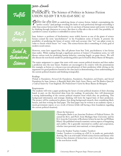300-Levels

Fulfills





### PoliSciFi: The Science of Politics in Science Fiction UHON 302-009 T R 9:30-10:45 SHC 12

**Politics** has often been an underlying theme of science fiction. Indeed, contemplating the "perfect society" (and perhaps revealing the faults of such perfection) through storytelling is "perfect society" (and perhaps revealing the faults of such perfection) through storytelling is older than science fiction itself. There is much we can learn of human nature and society writ large by thinking through characters in a story. But there is a flip side to this as well. One possibility of a predictive science of politics is embedded in science fiction.

Isaac Asimov—a professor of biochemistry more widely known as one of the giants of science fiction—coined the term "psychohistory" in his Foundation series of books. It presents the possibility of predicting the future of society with such accuracy that "we" can adjust events in order to choose which future "we" want. This science-fiction idea is something of a holy grail of modern social science.

However, some have argued that, like cell phones from Star Trek, psychohistory is less fiction than reality. While reading through a significant portion of Asimov's Foundation series, we will discuss various tools for predicting human behavior, centering largely on game theory. We will also discuss the non-fiction model for predicting politics put forward by Bruce Bueno de Mesquita.

The major assignment is a paper that starts with some current political situation and then makes a prediction into the near future. Students are encouraged to be creative with the presentations (for example, as fiction or a choose-your-own-adventure) of their prediction while relying on the arguments for good prediction learned in the class (such as demonstrating a firm understanding of the current political situation and thinking strategically).

#### Readings

*Prelude to Foundation*, *Forward the Foundation*, *Foundation*, *Foundation and Empire*, and *Second Foundation* by Isaac Asimov; *A Beautiful Math: John Nash, Game Theory, and The Modern Quest for a Code of Nature* by Tom Siegfried; *The Predictioneer's Game* by Bruce Bueno de Mesquita

#### Requirements

The students will write a paper predicting the future of some political situation of their choosing based, in part, on the theoretical ideas from the readings. In particular, they will demonstrate a strong understanding of the current political situation from which they are predicting. This background information and strategic thinking will form the logical basis of their prediction. The project will be conducted in phases, first doing background research, then considering likely futures, and then writing the final paper. The final paper may be written as an academic report, a mock government report, or as a work of fiction (while still having a firm foundation regarding the current political situation).

#### About the Instructor

Christopher Butler is an Associate Professor of Political Science. He earned his M.A. and Ph.D. from Michigan State University and his B.A. from the University of Rochester (where he met the real William Riker). His published research examines various aspects of bargaining and conflict. He is generally interested in conflict and cooperation, whether inter-personal, inter-national, or inter-planetary.

About the Student Teacher: Lindsey Turnbow

Lindsey Turnbow is working on a B.F.A. in studio art, particularly drawing. She is an avid reader of both science fiction and fantasy who believes that elements of fiction have a real, if not always clear, place in the non-fiction world.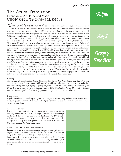$300$ - $L$ evels

### The Art of Translation: Literature as Art, Film, and Music UHON 302-011 T 5:00-7:30 P.M. SHC 16

Forms of art, literature, and music do not exist in a vacuum. Indeed, each is influenced by<br>the other, and can be translated from medium to medium. The blues heavily inspired African<br>American poets and those poets inspired the other, and can be translated from medium to medium. The blues heavily inspired African American poets, and those poets inspired blues musicians. Slam poets incorporate every aspect of dramatic performance into their poetry readings. And we all have that favorite book turned movie (which may not always end well). In this class, we will explore the process of translating literature into art, film, and music, or vice versa. What happens when a novel becomes a Broadway musical? Or when a poem is set to music? What happens when a director and playwright work together to create film? What sorts of "rules" might there be when translating a work from one medium to another? Or is there? Must a director follow the novel when creating a film or musical? Must a poet be true to the painter when writing a poem inspired by a specific painting? How do romantic composers set pieces to music? How is reading a play different from viewing it? We will answer these questions and many more. We will look at work by filmmakers, poets, writers, directors, and playwrights. We will read a work in one form, and then experience it another medium. Some of the work we will consider includes blues, ekphrastic (art-inspired), and spoken word poetry, and novels, plays, and graphic novels. We will read and experience such works as *Wicked*, *300*, *The Phantom of the Opera*, *The Crucible*, and *The Diving Bell and the Butterfly*. As a final project, students will then be expected to take a work not on the reading list, and then translate that into a medium of their choice—whether they draw or paint from a poem, film a scene from a novel, or come to class and act out a scene from a text (dressed in full costume), students will be able to take part in the art of translation themselves. Finally, as a class, we will all be attending *Wicked* at Popejoy (Sunday, February 6th at 2pm—your additional course fee pays for this attendance) so that we can fully experience a live showing of work translated into a musical.

#### Readings

*Thermopylae BC: Last Stand of the 300 Campaign*, Nic Fields; *Beat Poets*; *Listen Up*!; *Slam Nation* (a documentary); *Blues Poems*; Auden, William Carlos Williams, John Keats, Anne Sexton, Apollinaire, and Sylvia Plath; *Wicked*, Gregory Maguire; *300*, Frank Miller, dir. Zach Snyder; *The Phantom of the Opera*, Gaston Leroux (will watch film and listen to CD); *The Crucible*, Arthur Miller, dir. Nicholas Hytner; *The Diving Bell and the Butterfly*, Jean Dominique Bauby, dir. Julian Schnabel

#### Requirements

Regular attendance, active class participation, on-line participation, group and individual presentations, a creative paper, an analytical essay, and a final project where students will translate a work into their own chosen medium.

#### About the Instructor

Kathryn Collison received an M.F.A. in creative writing from Eastern Washington University and a B.A. in English from UNM. She has taught in the UHP for two years and was the Scribendi 2007-2008 Faculty Advisor. She has taught poetry in prison, high school, and community college. Her poetry has been published in *The Furnace Review*, *New Works Review*, and *The Pedestal Magazine*.

#### About the Student Teacher: Laura Eberhardt

Laura is majoring in music education and creative writing with a minor in peace studies. She wants to teach (and learn) for the rest of her life, and is especially interested in fostering equal education across socioeconomic lines. Currently she teaches music lessons after school at Ernie Pyle and Garfield Middle Schools. In this seminar she is really excited to get to combine her interests in literature and music to explore social issues and have fun!

Fulfills



Group 7 Fine Arts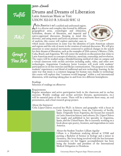300-Levels

Fulfills





### Drums and Dreams of Liberation Latin American Music as Text UHON 302-013 R 3:30-6:00 SHC 12

**L'atin America is not a unified and uniformed region.**<br>It is a diverse and complex idea formed by different<br>geographical areas. cosmologies and ethnicities. It is a diverse and complex idea formed by different geographical areas, cosmologies and ethnicities, hybridism, dreams of liberation, and imperial and native-oppressed discourses. Keeping in mind this diversity, and using music and lyrics as primary sources of analysis, this course will explore particular cases in



which music characterizes in some way the identities of Latin American cultures and regions and the role of music in the creation of national discourses. We will give attention to some musical movements connected to political changes in the search for their dreams of liberation, such as the examples of 20th century's Mexico, Chile, Cuba, Brazil, and Argentina. We will center the analysis on discussions that relate to Latin American music to concepts of ethnicity, mestizaje, censorship, and revolution. The topics will be studied using a blended-learning method of class on campus and a virtual classroom with on-line activities including audio, video, and other new technologies. Argentinian Conductor Javier Lorenzo will work with students' participation in on-line exercises and Skype communication. The purpose is to make students' experiences a real blend of traditional and new technology learning. In the same way that music is a common language for human race; thanks to technology this course will explore that "common world language" within a real international dimension, with teaching taking place in and from two different hemispheres.

Readings Selection of readings on eReserves

#### Requirements

Regular attendance and active participation both in the classroom and in on-line exercises. Weekly readings and on-line activities (forums, questionnaires, etc.) will be essential parts of the course. There will be a mid-term short essay, an oral presentation, and a final research group project.

#### About the Instructor

Celia López-Chávez received her Ph.D. in history and geography with a focus in

Latin American history, from the University of Seville, Spain. Originally from Argentina, she focuses her research on Latin American history and cultures. Dr. López-Chávez has taught and published in her specialty in Argentina, Spain, and the United States. She is currently working on a book about epic poetry, frontiers, and imperialism in Latin America.

#### About the Student Teacher: Lilliam Aguilar

Lilliam is a Honduran studying abroad at UNM and pursing a Bachelor of Science in biology and a minor in chemistry. She loves being involved with the less fortunate communities yet her biggest accomplishment has been being the founder and president of the International Medical Delegation to Honduras.

29 *University Honors Program http://honors.unm.edu*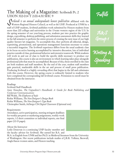## The Making of a Magazine: Scribendi Pt. 2 UHON 302-014 T 2:00-4:30 SHC 9

Scribendi is an annual undergraduate honors publication affiliated with the<br>Western Regional Honors Council, as well as the UHP. Produced at UNM by a<br>staff of UHP students Scribendi publishes work submitted by Honors stude Western Regional Honors Council, as well as the UHP. Produced at UNM by a staff of UHP students, *Scribendi* publishes work submitted by Honors students from more than 220 colleges and universities in the 13-state western region of the U.S. In the spring semester of our year-long process, students put into practice the graphic design, copyediting, desktop publishing, and submission assessment skills they learned in the fall semester to perform the entire process of creating the next issue of our high quality literary/art magazine. To accomplish this, they perform all editorial, design, typesetting, promotional, and operations management functions necessary to create a successful magazine. The *Scribendi* experience differs from the usual academic class in its focus on active learning accomplished by intensive discussion, lots of individual practice outside of class, professional behavior and extensive teamwork. While students will work in and out of class to build the specific skills necessary to produce our publication, this course is also an environment in which learning takes place alongside professional jobs that must be accomplished. Because of this, those enrolled in the class are both students and staff members. By the end of the year, student staff members gain practical, marketable skills in the art and process of small press publication. Producing *Scribendi* is a highly rewarding effort that begins in the fall and culminates with this course. However, the spring course is ordinarily limited to students who have completed the corresponding fall *Scribendi* course. Permission to enroll must be obtained from the instructor.

#### Readings

*Scribendi* Staff Handbook Amy Einsohn, *The Copyeditor's Handbook: A Guide for Book Publishing and Corporate Communications* Bill Walsh, *The Elephants of Style* Robin Williams, *The Non-Designer's Design Book* Robin Williams, *The Non-Designer's Type Book* Christopher Smith, *InDesign CS4 Digital Classroom* (Optional text)

#### Requirements

Attendance, active participation, meeting stringent deadlines for weekly pre-press or marketing assignments, weekly work reports, 1-2 short committee or individual reports, one final paper (12-15 pages).

About the Instructor

Leslie Donovan is a continuing UHP faculty member and the faculty advisor for *Scribendi*. She earned her B.A. and

M.A. in English from UNM and her Ph.D. in Medieval literature from the University of Washington. Her recent publications include studies of J.R.R. Tolkien, Beowulf, Anglo-Saxon women saints, and Honors teaching.



A&S Group 1

Writing & Speaking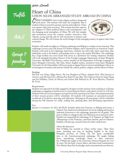300-Levels

# Fulfills

A&S

Group ? pending

### Heart of China UHON 302-030 ARRANGED STUDY ABROAD IN CHINA

 $\boldsymbol{\rho}$  hina is economics, but it is also religion, politics, change and  $\triangleright$  much more. This seminar will study the complexity that is modern China so rooted in ancient customs and traditions. China was ancient when Jesus was born. This seminar has three aspects: the religions of China; political history and contemporary, and the changing social atmosphere of China. We will visit temples and monasteries across the country conduct interviews with Chinese, young and old, and we will concentrate on historic and



cultural change. We will witness the social changes of this emerging country in aspects other than economics.

Students will reside six nights at a Chinese orphanage near Beijing to conduct service learning. This orphanage is seven years old, houses 30 Chinese orphans, and is operated by an American couple. Students will teach in the orphanage classrooms, celebrate arts and crafts, share meal times, play basketball, work in the bakery, and perhaps escort a trip to the nearby Wal-Mart. The orphanage has a large modern two story home that serves as a dormitory for visiting volunteers. Student will work alongside Jin Jaing, Director of the Foreign Languages Department of Inner Mongolia University, Shi Shilzi (Tom Stone), a senior member of the Department of Foreign Languages at Inner Mongolia University, Bao Han, Senior English teacher, professors from Inner Mongolia University for the Nationalities will be our guests at Agape House to lecture and dialogue with us on several aspects of modern and ancient Chinese life, culture, politics, religion, and the future of China.

#### Readings

*Red Star over China*, Edgar Snow; *The Lost Daughters of China: Adopted Girls, Their Journey to America*, and *The Search for a Missing Past*, Karin Evans; *Mao: The Unknown Story* by Jung Chang and Jon Halliday; *China: Its History and Culture* (4th Edition) by W. Scott Morton, Charlton M. Lewis

#### Requirements

Students are expected to be fully engaged in all aspects of this seminar, from teaching at a Chinese orphanage to engaging invited lectures to researching the history and culture of sites we will visit. Students will write a research paper on a topic from their experiences in China. A formal presentation of their reseach projects will be scheduled. All students will maintain an annotated journal/ workbook of 25 photos, drawings and reflections. Meetings of all participants will be scheduled during the Fall semester for study, reading lists, packing ideas, and developing expectations.

#### Fees

January 2 to January 16, 2011: \$2,700.00. Includes airfare San Francisco to Beijing and return, a

Chinese Visa, land travel and domestic air travel, lodging and meals as indicated, honorium to the orphanage, gratuities for all guides. This price is subject to change in that Air China has not set prices for 2011. Students are responsible for obtaining a U.S. Passport, air flight from Albuquerque to San Francisco, and three lunches, and two dinners. Students will also pay normal tuition for three credit hours.

#### About the Instructor

Ned O'Malia has traveled in China twelve times, Tibet three times, including one year of teaching English in the inner Mongolia province of China. He has spent considerable time at the American-operated orphanage. He taught baking there, introducing sourdough bread to their selections. Dr. O'Malia has taught at the University Honors Program for over 20 years. He has been a travel editor, television food commentator, New Mexico State Fair food judge, and an international tour director.

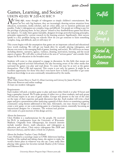400-Levels 00-Levels

## Games, Learning, and Society UHON 402-001 W 2:00-4:30 SHC 9

 $\bigwedge$  fot long ago, many thought of videogames as simply children's entertainment. But games are not only big business, they are increasingly drawing serious attention from educators, economists, media scholars, and art critics alike, not to mention politicians and pundits. Today's videogames are complex, long, and difficult. Yet people are willing to pay for the privilege of playing them. In fact, players' refusal to buy dumbed-down games has driven the industry. To make their games learnable, designers leverage powerful learning principles, principles supported by current research in the learning sciences. Significantly, their success speaks to a key problem facing our schools: How do you get someone to learn something complex, long, and difficult, and yet still enjoy it?

This course begins with the assumption that games are an important cultural and educational force worth studying. We will get our hands dirty by actually playing videogames, and discuss core texts in the emerging field of games, learning, and society. We will focus on issues including identity, narrative, agency, violence, cheating, motivation, learning, and the social aspects of games. We will offer a critical look at the area of "serious games" and consider their impact for K-16 education in the broadest sense.

Students will come to class prepared to engage in discussion. In this field, that means not only doing required activities beforehand, but also becoming aware of the other media that surround the games you play and read about. To some this may be as new as the games themeselves. That's OK and expected. This course is not only for gamers. It might be an excellent opportunity for those who don't even know how to hold a controller to get some hands-on knowledge in an area continually misundersood by the media.

#### Readings

*What Video Games Have to Teach Us About Learning and Literacy* by James Paul Gee Electronic Reserves and online readings At least one modern videogame

#### Requirements

Each student will pick a modern game to play and must either finish it or play 50 hours and keep a gameplay journal. We'll make groups of either two or three students, and each group will become expert in an area of game studies. Groups will present to the rest of the class on the topic of their expertise and guide discussion that day. Each student will write a final paper and give a presentation either analyzing a game(s) of their choice or examining a gaming community using themes addresssed in this class. Alternately, one may choose to design or create a new game, or use a pre-existing game in a learning context, essentially becoming an

instructional designer for a semester. The written/oral portion will consist of a post-mortem of this design activity.

#### About the Instructor

Chris Holden is a mathematician for the people. He received his Ph.D. in mathematics from the University of Wisconsin-Madison. Originally from Albuquerque, his research interests include number theory, math education, and videogames as education and culture. Chris enjoys videogames like *DDR* and *Katamari Damacy*, and he takes a whole lot of photos.

#### About the Student Teacher: Casey Holland

Casey Holland is a sociology major at UNM. Inbetween battling hoardes of the undead and taking classes, she aspires to make the world a better place in whatever way she can. Casey really likes playing video games; her favorites include *Shadow of the Colossus* and *Pokemon Blue*.

Fulfills

A&S Group

Social  $\&$ Behavioral Science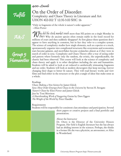### 400-Levels 00-Levels

Fulfills

### On the Order of Disorder: Complexity and Chaos Theory in Literature and Art UHON 402-002 T 12:30-3:00 SHC 16

"Only in fragments of the whole is nature's order apparent." —Eliot Porter



Group 5 Humanities

Why did the stock market crash more than 500 points on a single Monday in<br>1987? Why do ancient species often remain stable in the fossil record for<br>millions of years and then suddenly disempore At first clance these questi 1987? Why do ancient species often remain stable in the fossil record for millions of years and then suddenly disappear? At first glance these questions don't appear to have anything in common, but in fact they refer to a complex system. The science of complexity studies how single elements, such as a species or a stock, spontaneously organize into complicated structures like ecosystems and economies; stars become galaxies, and snowflakes become avalanches almost as if they were in search of order in sync. Complexity and Chaos Theory offer a way of seeing order and pattern where formerly only the random, the erratic, the unpredicatable, the chaotic had been observed. This course will look at the science of complexity and chaos theory and apply it to other disciplines including the arts and humanities. Students will be asked to look at art reduced to aesthetically stimuating fragments and see order. Students will look at modern skyscrapers that keep moving, forever changing their shape to better fit nature. They will read literary works and view films and find either in the structure or the plot a tangle of ideas that make sense as a whole.

#### Readings

*Chaos: Making a New Science* by James Gleick *Sync: How Order Emerges from Chaos in the Universe* by Steven H. Strogatz *Nature's Chaos* by Eliot Porter and James Gleick *Jazz* by Toni Morrison *A Heartbreaking Work of Staggering Genius* by Dave Eggers *The Weight of the World* by Peter Handke

Requirements Students will be responsible for consistent class attendance and participation. Several

short papers or creative projects and a final portfolio and presentation.

About the Instructor

Dr. Otero is the Director of the University Honors Program. Her field is English literature but she has always had an abiding interest in the sciences. Perhaps, she thinks in a former life she was a physicist, an astronomer, or Alice in Wonderland.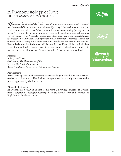# A Phenomenology of Love UHON 402-003 M 1:00-3:30 SHC 8

**Thenomenology is about the lived-world of human consciousness. It seeks to reveal<br>the essential structures of human intersubjectivity. How do humans know [and<br>lovel themselves and others. What are conditions of encounteri** the essential structures of human intersubjectivity. How do humans know [and love] themselves and others. What are conditions of encountering [loving]another person? Love may begin with an unconditional understanding [empathy] into that person's inner world. A verbal or symbolic invitation may draw one closer. Intimacy is a succession of invitations leading toward a shared emotional presence. Are we not shocked when so many allow popular culture to influence and even define personal lives and relationships? Is there a sacrificial love that manifests a higher or the highest form of human love? Is mystical love, irrational, paradoxical and bathed at times in sensual ecstacy, still human love? Can a "forbidden" love be real human love?

#### Readings

Buber, *I and Thou* de Chardin, *The Phenomenon of Man* Marion, *The Erotic Phenomenon*  Rumi, *The Book of Love: Poems of Ecstacy and Longing*

#### Requirements

Active participation in the seminar; discuss readings in detail; write two critical studies on topics approved by the instructor; or one critical study and one creative project approved by the instructor.

#### About the Instructor

Ed DeSantis has a Ph.D. in English from Brown University; a Master's of Divinity from Georgetown Theological Center; a licentiate in philosophy and a Master's in English from Fordham University.



A&S

Group 5 Humanities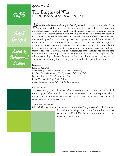Fulfills

A&S Group 4



## The Enigma of War UHON 402-004 M W 3:00-4:15 SHC 16

Humans have an extraordinary propensity for violence against one another. This<br>propensity, while not technically unique to humans, still sets us apart from<br>our animal peers. The ubiquity and scale of human violence is some propensity, while not technically unique to humans, still sets us apart from our animal peers. The ubiquity and scale of human violence is something special. A visitor from another planet would certainly conclude that humans are obsessed with violence, torture, and murder. The societal expression of this capacity is war. One could argue that war has always been maladaptive but until the invention of nuclear weapons, the issue was unresolved, open to debate. Since the development of these weapons, however, it's become clear. War, given the potential for escalation to the nuclear level, is a threat to the survival of the human species (and probably many other species, as well). No one understands with certainty the reasons that war is so ubiquitous and pervasive in the history of humanity. The imperative for this understanding is obvious. Students in this class will use the tools of their major disciplines in an inquiry into the enigma of war and its inexplicable persistance.

#### Readings

Homer, *The Iliad* Chris Hedges, *War is a Force that Gives Us Meaning* Lt. Col. Dave Grossman, *The Psychological Cost of Killing* James Hillman, *A Terrible Love of War* Errol Morris, *The Fog of War* (film) *Eleven Lessons from the Life of Robert McNamera*

#### Requirements

A presentation, a critical review of a non-assigned work, an essay, and a final research paper. Grades will be based on evaluations of the papers/presentations, plus an assessment of participation in a discussion panel and an overall assessment of participation in seminar activities.

#### About the Instructor

Michael Thomas is an anthropologist and novelist, long interested in the impulses

that lead human beings to make war. He was born in 1946 (at the end of World War II) and has borne witness to the many subsequent wars.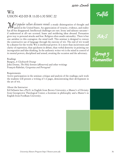## Wit UHON 402-005 R 11:00-1:30 SHC 22

Most popular culture discourse reveals a steady disintegration of thought and<br>speech in the United States. An appreciation of veracity, evidence, and reality<br>has all but disappeared. Intellectual challenges are rare. Irony speech in the United States. An appreciation of veracity, evidence, and reality has all but disappeared. Intellectual challenges are rare. Irony and salutary sarcasm if understood at all—are scorned. Inane and moldering ideas abound. Persuasion gives way to personal attacks and fear. Religion often assails rationality. There is but one antidote to this contagion: the mind itself. This seminar is designed to restore the constructive use of language through the exercise of wit. The end of wit would be a disaster for the world. Wit is intellectual power. It is more than incisiveness and clarity of expression, than quickness in debate, than verbal dexterity in pointing out incongruities and false thinking. In the authentic writer wit is the mind in control of its mental powers, disciplined and armed, awaiting the occasion and the adversary.

#### Readings

Burgess, *A Clockwork Orange*  John Donne, *The Holy Sonnets* (eReserves) and other writings François Rabelais, *Gargantua and Portagruel*

#### Requirements

Active participation in the seminar; critique and analysis of the readings; each week the students will present a writing of 1-2 pages, demonstrating their devlopment in the art of wit.

#### About the Instructor

Ed DeSantis has a Ph.D. in English from Brown University; a Master's of Divinity from Georgetown Theological Center; a licentiate in philosophy and a Master's in English from Fordham University.



A&S

Group 5 Humanities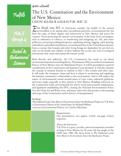### $100 - \text{Levefs}$

Fulfills

A&S Group 4

Social  $\&$ Behavioral Science

# The U.S. Constitution and the Environment of New Mexico UHON 402-006 R 6:00-8:30 P.M. SHC 22

Fiven though some  $80\%$  of Americans consider the health of the natural<br>environment to be among their top political priorities, environmental law has<br>been the topic of bitter dispute and controversy in New Mexico and acr environment to be among their top political priorities, environmental law has been the topic of bitter dispute and controversy in New Mexico and across the country. From protecting the interior environment of the body from carcinogens, such as substances in tobacco, to monitoring and mitigating air, soil, and water pollution, protecting endangered species, regulating mining, logging, cattle grazing, and military and industrial pollution, environmental law in the United States operates from a concept that humans and other living beings are dependent for survival not only on the health and viability of their habitats but on the vast web of ecological interactions that create and sustain the natural world.

Both directly and indirectly, the U.S. Constitution has much to say about environmental protection and regulation. This seminar will focus on the environmental history of New Mexico since the Manhattan Project. It will be grounded in a general consideration of the Constitution and Supreme Court decisions. It will also examine the concept of eminent domain in relation to *Kelo v New London* and other cases. It will study the commerce clause and how it relates to monitoring and regulating the business community's relationship to the environment. And it will explore the nature of environmental racism around issues of toxic waste, industrial pollution, and water usage, especially as they pertain to New Mexico. Readings will focus on the Constitution itself, environmental law and its social and economic implications, and legislation establishing the EPA, creating the National Environmental Policy Act, the Clean Air and Water Acts, and many other laws that pertain to the meaning and scope of the Constitution and its history of interpretation.

#### Readings

*The Orphaned Land: New Mexico's Environment Since the Manhattan Project*, by V.B. Price *A Documentary History of the United States*, by Richard Heffner *American Environmental History*, by Carolyn Merchant

#### Requirements

One presentation, two papers, weekly one-page written responses.

#### About the Instructor

V.B. Price is a poet, novelist, and environmental journalist writing in New Mexico for 50 years. He has taught in the UHP since 1985. His latest book is *The Orphaned Land: New Mexico's Environment Since the Manhattan Project*.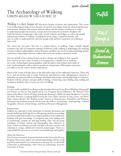400-Levels 00-Levels

# The Archaeology of Walking UHON 402-010 W 1:00-3:30 SHC 22

Walking is a basic human act that drives human evolution and organization. This course is an Archaeological study of how the pace of travel by foot shapes both the cultural and physical environment. Students will examine material culture and the artifacts of behavior in order to understand people's motivations, actions and environmental constraints. Students will study the features of landscapes—like trails, traveler's shrines and lodges—as well as the mobile and personal artifacts of walking—including footwear, maps, companion animals, and cars—in order to understand how and why people walk and how researchers use walking in their work.

The course has two parts. The first is a culture history of walking. Topics include: bipedal evolution; the roles of companion animals; Prehistoric trails; walking in pilgrimages; the meaning of nature walks for philosophers such as Rousseau and Muir; the rise of recreational hiking; and the contentious relationships between walkers and cars in the modern, urbanized world.

The second half of the semester focuses on how scholars use walking in their research. Foot travel is not just a topic of study; it is recognized as a valuable tool in studying the world. Archaeologists and geographers walk the land to find artifacts and a sense of scale. Anthropologists walk to observe peoples at a human pace. Philosophers and artists use walks to set the context of their explorations.

Much of the course will take place in the field rather than in the traditional classroom. There will be in- and out-of-class trips to study: Prehistoric and Historic roads; Albuquerque's network of sidewalks; recreational trails in the Bosque and Sandia Mountains; and the pilgrimage to Chimayo. Students will also practice and gain skills in hiking, orienteering, route finding, map reading and navigation. Students will, of course, do a lot of walking.

#### Readings

A course reader available from eReserves that includes selections from: *Ways of Walking: Ethnography and Practice on Foot* by Tim Ingold and Jo Lee Vergunst; Steven Elkinton's *The National Trails System*; John Muir's *Nature Writings*; Jean-Jacque Rousseau's *Walks*; Norman Henderson's *Creating the North American Landscape/Rediscovering the Great Plains: Journeys by Dog, Canoe, and Horse*; Juliet Clutton Brock's *The Walking Larder: Patterns of Domestication, Pastoralism and Predation*; and numerous academic research articles from the fields of Archaeology, Anthropology, Cultural Geography, History, Urban Design, and Natural Resource Management.

#### Requirements

Students are expected to fully participate in seminar discussions and attend a half-dozen field trips across Albuquerque and the surrounding area that include both strolls across campus and hikes in the wilderness. Students will gain knowledge of navigation and route finding such as orienteering, compass use and map reading. They will also learn techniques of artifact analysis and ethnographic data collection. A series of short worksheets, journals, and data collection exercises will culminate in a large, collaborative research project/paper. There is a required \$60.00 course fee to cover the costs of field trips and supplies.

#### About the Instructor

Troy Lovata is a tenured, Associate Professor in the University Honors Program. His courses explore our cultural relationship with the world around us and examine our connections to the past. Dr. Lovata holds a Doctorate in anthropology, with a focus on archaeology, from the University of Texas.



A&S Group

Social  $\&$ Behavioral Science

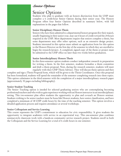### Senior Options

Students who plan to graduate with an honors disctinction from the UHP must complete a 6 credit-hour Senior Option during their senior year. The Honors Program offers four Senior Options described in summary below, with full explanations in the pages that follow.

#### Senior Dicsiplinary Honors Thesis

Seniors who have been admitted to a departmental honors program (for their major), usually beginning in their junior year, may use 6 hours of credit toward the 24-hours required in the UHP. Most departments require that seniors complete a thesis, but some departments may offer other options, such as an extensive design project. Students interested in this option must submit an application form for this option to the Honors Director on the first day of the semester in which they are enrolled to begin the research/project. A completed, signed copy of the thesis or project must be submitted to the UHP office no later than two weeks before graduation.

#### Senior Interdisciplinary Honors Thesis

In this three-semester option students conduct independent research in preparation for writing a thesis. In the first semester, students formalize a thesis committee and draft a thesis proposal. Next, during the research semester, students will meet regularly with their UHP Thesis Advisor. They will discuss thesis options and then

complete and sign a Thesis Proposal form, which will be given to the Thesis Coordinator. Once this proposal has been formalized, students will spend the remainder of the semester completing research into these topics. This option culminates in the third semester with the completion of a major interdisciplinary research paper (approximately 30 pages excluding bibliography).

#### Senior Student Teaching

**Senior Options**<br>
Suddens who plan ot graduate the selection of complete a 6 credit-hour Section<br>
scomplete a 6 credit-hour Section of Program officers for Senior explanations in the pages that<br>
Seniors who have been admi The Senior Teaching option is inteded for selected graduating seniors who are contemplating becoming professional teachers and who wish to gain experience working with an Honors instructor in an interdisciplinary setting. This two-semester plan offers students the opportunity to plan and co-teach an Honors seminar. Students wishing to be senior teachers must be bona fide Honors students, have senior classification, and have completed a minimum of 18 UHP credit hours by the time of the teaching semester. This option involves a detailed application process and requires attendance at several workshops.

#### Senior Colloquium and Service Learning

This course represents the UHP's commitment to education for civic responsibility. It gives students the opportunity to integrate academics with service in an experiential way. This one-semester plan combines seminar-style classroom work with a hands-on community service research project. Students enroll in both the Colloquium and the Service Learning for a total of 6 credit hours in one semester.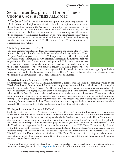Senior Options

# Senior Interdisciplinary Honors Thesis UHON 499, 490 & 491 TIMES ARRANGED

The Senior Thesis is one of four capstone options for graduating seniors. The thesis is an interdisciplinary culmination of the diverse topics students encounter throughout their studies in the University Honors Program. Additionally, a few departments at UNM may not offer a Senior Honors Thesis option, may not have faculty members available to oversee a student's research or may not offer students the opportunity research across disciplines. By selecting the interdisciplinary Senior Honors Thesis, students are able to work with any one of the outstanding faculty members or instructors in the UHP. The Senior Honors Thesis is a 3-semester, 7-credit hour undertaking.

#### Thesis Prep Semester: UHON 499

The prep semester lets students focus on understanding the Senior Honors Thesis process, identify faculty who can facilitate research and writing, and craft a Thesis Proposal. Students register for UHON 499 Independent Study (1 credit hour) with any willing UHP Continuing Faculty member. This faculty member will help you organize your ideas and formalize the thesis proposal. This faculty member need not have direct knowledge of the student's intended topic of study or serve on their Thesis Committee—the prep semester faculty is merely a mentor there to



help students negotiate the University and organize initial research. Students then meet regularly with their respective Independent Study faculty to complete the Thesis Proposal Packet and identify scholars to serve on the student's Thesis Committee as a Thesis Coordinator and Reader.

#### Research & Reading Semester: UHON 490

Students register for UHON 490 Reading and Research (3 credits) once the Thesis Proposal is approved by the Thesis Coordinator. Students spend this semester completing the research into their theses topics in regular consultation with the Thesis Advisor. The Thesis Coordinator also assigns short, required exercises that help students assemble a bibliography, hone their methodologies, and refine research. There are 3 to 4 meetings with the Thesis Coordinator and other thesis students over the course of this semester. These are excellent opportunities for students to share as colleagues the various successful research and writing techniques and strategies. These group meetings are required portions of the process—you cannot complete the thesis without attending. Students meet with their Thesis Advisor on a more regular basis as required to complete their research. The semester ends with the production of an 8 to 10 page draft of the thesis.

#### Writing & Presentation Semester: UHON 491

Students register for UHON 491 Senior Honors Thesis (3 credits) during the final semester. This portion of the Senior Honors Thesis option requires students to synthesize their research into a written thesis and oral presentation. First is the actual writing of the thesis. Students work with their Thesis Committee to determine their own schedules for completing any outlines or preliminary drafts. The completed thesis should be at least 30, double-spaced, word-processed pages in length (excluding endnotes and bibliography). After the Thesis Advisor approves the thesis it should be submitted to the UHP Thesis Coordinator by the end of the 13th week of the semester. A Thesis Abstract and a Senior Honors Thesis Form must accompany the final manuscript. Thesis candidates are also required to present an oral summary of their research at the UHP Thesis Presentation Day shortly before finals week. The Thesis Coordinator directs this part of the semester, helps students distill their research into a 20 to 30-minute oral presentation, and organizes 2 to 3 required practice sessions for each student.

For more information about Interdisciplinary Theses contact Dr. Troy Lovata, Senior Thesis Coordinator, by phone at 277-3663, by e-mail at lovata@unm.edu or visit his office in room 2B of the Honors Center.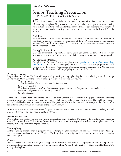### Senior Options

# Senior Teaching Preparation UHON 492 TIMES ARRANGED

The Senior Teaching option is intended for selected graduating seniors who are contemplating becoming professional teachers and who wish to gain experience working with an Honors instructor in an interdisciplinary setting. Selected students will complete a prep semester (not available during summers) and a teaching semester, both worth 3 credit hours each.

#### **Eligibility**

Students wishing to be senior teachers must be bona fide Honors students, have senior classification, and have completed a minimum of 18 UHP credit hours by the teaching semester. You must have either taken the course you wish to co-teach or have taken a seminar with your chosen Master Teacher.

#### Pre-Application Actions

Once you have identified a potential Master Teacher, you and the Master Teacher are required to attend an Information Session the semester before you plan to submit a course proposal.

#### Application and Deadlines

Complete the Student Teaching Application (http://honors.unm.edu/senior-teaching\_ application.html). This must accompany the Master Teacher's course proposal, which is submitted to the Honors Curriculum Committee around December 1st. NOTE: This deadline is for students who will prep Spring 2011 and teach Fall 2011.

#### Preparatory Semester

Prep students and Master Teachers will begin weekly meetings to begin planning the course, selecting materials, readings and activities. Throughout the course of the prep-semester it is expected that you will:

- *Master the content*
- *Collect the intellectual agenda about texts/authors (content)*
- *Form a plan (syllabus)*
- *Have knowledge about a variety of methodologies, papers, in-class exercises, projects, etc., grounded in content*
- *Understand the professional role of being a teacher*
- *Be prepared to teach*

At the end of the semester you will write a final "Mastery of Content" paper (minimum 5-8 pages), a plan for facilitating one entire class period, and an annotated bibliography of all books read to prepare for the class. The final bound copy is due on the Friday before exam week. One copy will be given to the Master Teacher and another copy to the Honors office for inclusion in the permanent collection of the Honors Library.

WARNING: *In the event the course is cancelled (when enrollment does not meet or exceed a minimum of 12 students), you will need to be prepared to enroll in an alternate Senior Option.* 

#### Mandatory Workshop

Prep students and Master Teachers must attend a mandatory Senior Teaching Workshop to be scheduled every semester on the Friday after break (Fall or Spring Break). Students are expected to arrange their schedules accordingly to attend this meeting as a component of their prep semester.

#### Teaching Blog

At the beginning of each semester (preparatory or teaching) a blog for continuous on-line collaboration is set up for prepstudents, student teachers, and Master Teachers. The blog allows these unique colleagues to comminicate with each other and give support.

#### Contact

Master Teachers are mentors during the the application process, as well as during the preparation and teaching process. For more information, please visit our website or contact a Peer Advisor by phone at 277-7415, or visit SHC Room 17C during advising hours.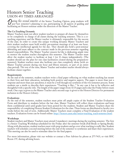Senior Options

# Honors Senior Teaching UHON 493 TIMES ARRANGED

During this second semester of the Senior Teaching Option, prep students will put last semester's planning to use, participating in all aspects of guiding and facilitating an Honors seminar under the direction of the Master Teacher.

#### The Co-Teaching Dynamic

Master Teachers must not allow student teachers to prepare all classes by themselves or be completely in charge of all classes during the teaching semester. This is a coteaching experience and the Master teacher is ultimately responsible for the success of the class. In order to create this unique working dynamic Master Teachers and their student teachers must hold weekly pre-seminar meetings of at least one hour, covering the intellectual agenda for the day. They should also hold a post-seminar debriefing and must adhere to the contract made in the previous semester regarding shared responsibilities. The Master Teacher ensures he/she is dedicating ample time to mentor the student teacher throughout this semester. The Master Teacher must allow the student teacher to facilitate at least 1 (or 2) classes independently. (The student should use the plan for one class facilitation created during the preparatory semester). Student teachers must also facilitate one class completely alone (with no Master Teacher present during one hour and fifteen minutes, or part of an entire class period). The rest of the time, Master Teacher and student teacher should always facilitate classes together.

#### Requirements

At the end of the semester, student teachers write a final paper reflecting on what student teaching has meant to their lives and their education, including both positive and negative aspects. The paper is more than just a response and more than just anecdotes; it must be a well though-out synthesis of the two-semester process. Some students use a simile to describe their experiences: "Teaching is like..." In any case it has to be reflective and thoughtful with a specific title. The length of the paper ranges from 10-15 pages and is due the Friday before exam week. One copy is given to the Master Teacher and a second copy is given to the Honors Director for permanent inclusion in the Honors Library.

#### Evaluations

At the end of the semester, student teachers must print off ample copies of the Student Teacher Evaluation Form and distribute to students before the last class. Master Teachers will collect these evaluations and keep them confidential until until grades have been posted for the students. Student and Master Teachers share the responsibility of completing Honors Student Evaluations for the class. These forms are distributed to faculty two weeks before the end of term. Additionally Master Teachers must complete a Final Evaluation of the student teachers. Evaluation forms can be found online: http://honors.unm.edu/senior-teaching teach-semester.html.

#### Workshops

Student teachers and Master Teachers must attend 2 mandatory meetings during the teaching semester. The first is a Senior Teaching Workshop scheduled for the Friday after the semester break (Fall Break or Spring Break). Along with discussions, student teachers meet with prep students and go over what teaching is really like. Student teachers will schedule a second meeting before the end of the semester to synthesize and share their experiences. This meeting can also be used to stimulate ideas for the final papers.

For more information, please visit our website or contact a Peer Advisor by phone at 277-7415, or visit SHC Room 17C during advising hours.

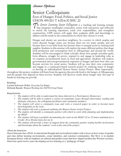### Senior Options

### Senior Colloquium: Eyes of Hunger: Food, Politics, and Social Justice UHON 495-001 T 4:00-6:30 SHC 22

The Service Learning Senior Colloquium is a teaching and learning strategy<br>that integrates meaningful community action with instruction and reflection<br>to enrich the learning experience teach civic responsibility and streng that integrates meaningful community action with instruction and reflection to enrich the learning experience, teach civic responsibility, and strengthen communities. UHP seniors will apply their academic skills and knowledge to address real-life needs in the communities in which they choose to work.

Hunger and obesity are next-door neighbors. In a society in which surplus and waste abound, hunger exists, not because there are too many people, and not because there is too little food, but because there is unequal access to existing food supplies. Students in this seminar will explore the many different politics that shape food production and consumption here in Albuquerque and around the world. Students will be encouraged to think critically about how people articulate goals, form alliances, struggle for power, respond to and engage in leadership roles as we examine environmental issues in food and agriculture. Students will analyze governmental and non-governmental responses to hunger and learn how they can become activists for social justice. Students will go into their own community and engage in a community-based research project by studying issues of hunger to develop an individualized Honors Senior Action Project. Most importantly,

throughout this project, students will learn from the agencies that provide food to the hungry of Albuquerque and the people who depend on these services. Students will discover truths about hunger only this type of hands-on learning can provide.

#### Readings

Loretta Schwartz-Nobel, *Growing Up Empty* Deborah Barndt, *Women Working the NAFTA Food Chain*

#### Requirements

- *The student will be able to understand the ideas inherent in a Participatory Democracy*
- *The student will be able to explore a variety of community issues through observation, reading and dialogue with peers, the colloquium facilitator and community members.*
- The student will select a community issue and write a research paper in order to become more *knowledgeable on the issue.*
- *The student will write a proposal outlining the Honors Senior Action Project*
- *The student will identify a community partner with which to work while planning and implementing the HSAP*
- *The student will keep a portfolio documenting the work on the HSAP (32 to 35 hours minimum for a Credit; 36 to 40 plus hours for an A)*
- *The student will provide a letter of support from the community partner stating her/his involvement and knowledge about the students' work at the end of the project.*

#### About the Instructor

Dawn Stracener has a Ph.D. in educational thought and sociocultural studies with a focus on how issues of gender and class define learning environments, create identities, and construct communities. Her M.A. is in modern European history with an emphasis on cultural and gender issues that have shaped modern day Western societies. Dawn has spent twelve years developing service learning as a "pedagogy of hope".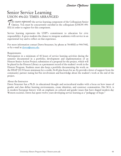Senior Options

# Senior Service Learning UHON 496-001 TIMES ARRANGED

 $\gamma$  his course represents the service learning component of the Colloquium Senior<br>Option. You must be concurrently enrolled in the colloquium (UHON 495-<br>001) in order to register for this component Option. You must be concurrently enrolled in the colloquium (UHON 495- 001) in order to register for this component.

Service learning represents the UHP's commitment to education for civic responsibility. It gives students the chance to integrate academics with service in an experiential way and to reflect on that experience.

For more information contact Dawn Stracener, by phone at 764-8500 or 944-7440, or by e-mail at dawns@unm.edu.

#### Requirements

Participation in a minimum of 40 hours of service learning activities during the semester documented in a portfolio; development and implementation of an Honors Senior Action Project; submission of a proposal for the project, which will be placed in the Honors Library as a permanent record of the student's work in the Honors Program. Students must also keep a portfolio documenting the work on



the HSAP (32-35 hours minimum for a credit; 36-40 plus hours for an A); provide a letter of support from the community partner stating her/his involvement and knowledge about the student's work at the end of the project.

#### About the Instructor

Dawn Stracener has a Ph.D. in educational thought and sociocultural studies with a focus on how issues of gender and class define learning environments, create identities, and construct communities. Her M.A. is in modern European history with an emphasis on cultural and gender issues that have shaped modern day Western societies. Dawn has spent twelve years developing service learning as a "pedagogy of hope."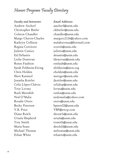# Honors Program Faculty Directory

*Faculty and Instructors Email Addresses* Andrew Ascherl aascherl@unm.edu Christopher Butler ckbutler@unm.edu Colston Chandler chandler@unm.edu Regina Corritore rcorrit@unm.edu Juliette Cunico juliette@unm.edu Ed DeSantis desantis@unm.edu Leslie Donovan ldonovan@unm.edu Renee Faubion renfaub@unm.edu Sarah Feldstein-Ewing sfeldstein@mrn.org Chris Holden cholden@unm.edu Sheri Karmiol metzger@unm.edu Jonatha Kottler jkottler@unm.edu Celia López-Chávez celialop@unm.edu Troy Lovata lovata@unm.edu Ruth Meredith ruthm@unm.edu Rosalie Otero otero@unm.edu Becky Peterson bpeter02@unm.edu V.B. Price VBP@swcp.com Diane Rawls dnrawls@unm.edu Ursula Shepherd ursula@unm.edu Trey Smith trsmith@unm.edu Maria Szasz deschild@unm.edu Michael Thomas mthomas@unm.edu Ethan White ethanw@unm.edu

Margo Chavez-Charles margocc2126@yahoo.com Kathryn Collison malakuvenus@hotmail.com Ned O'Malia nedomalia@yahoo.com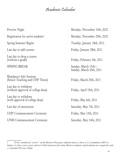# Academic Calendar

Preview Night Monday, November 15th, 2010 Registration for active students<sup>1</sup> Spring Semester Begins Tuesday, January 18th, 2011 Last day to add courses Friday, January 28th, 2011 Last day to drop a course (without a grade) Friday, February 4th, 2011 SPRING BREAK Sunday, March 13th— Mandatory Info Sessions (Senior Teaching and UHP Thesis) Friday, March 25th, 2011 Last day to withdraw (without approval of college dean) Friday, April 15th, 2011 Last day to withdraw (with approval of college dean) Friday, May 6th, 2011 Last day of instruction Saturday, May 7th, 2011

UNM Commencement Ceremony Saturday, May 14th, 2011

Monday, November 29th, 2010

Sunday, March 20th, 2011

UHP Commencement Ceremony Friday, May 13th, 2011

*<sup>1</sup> To be considered "active" in the Honors Program, students must a.) have a 3.2 cumulative GPA or higher, b.) have seen a peer advisor (Fall semesters first-time Honors students and freshmen are required), and c.) attended Preview Night.*